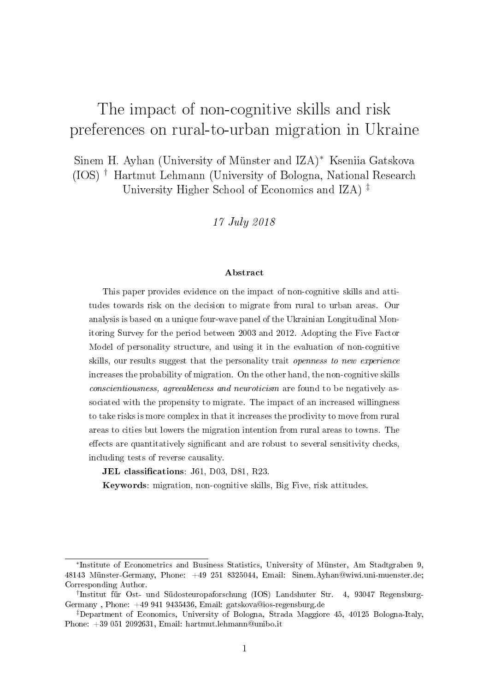## The impact of non-cognitive skills and risk preferences on rural-to-urban migration in Ukraine

Sinem H. Ayhan (University of Münster and IZA)<sup>∗</sup> Kseniia Gatskova (IOS) † Hartmut Lehmann (University of Bologna, National Research University Higher School of Economics and IZA) ‡

17 July 2018

#### Abstract

This paper provides evidence on the impact of non-cognitive skills and attitudes towards risk on the decision to migrate from rural to urban areas. Our analysis is based on a unique four-wave panel of the Ukrainian Longitudinal Monitoring Survey for the period between 2003 and 2012. Adopting the Five Factor Model of personality structure, and using it in the evaluation of non-cognitive skills, our results suggest that the personality trait openness to new experience increases the probability of migration. On the other hand, the non-cognitive skills conscientiousness, agreeableness and neuroticism are found to be negatively associated with the propensity to migrate. The impact of an increased willingness to take risks is more complex in that it increases the proclivity to move from rural areas to cities but lowers the migration intention from rural areas to towns. The effects are quantitatively significant and are robust to several sensitivity checks, including tests of reverse causality.

JEL classifications: J61, D03, D81, R23.

Keywords: migration, non-cognitive skills, Big Five, risk attitudes.

<sup>∗</sup> Institute of Econometrics and Business Statistics, University of Münster, Am Stadtgraben 9, 48143 Münster-Germany, Phone: +49 251 8325044, Email: Sinem.Ayhan@wiwi.uni-muenster.de; Corresponding Author.

<sup>†</sup> Institut für Ost- und Südosteuropaforschung (IOS) Landshuter Str. 4, 93047 Regensburg-Germany , Phone: +49 941 9435436, Email: gatskova@ios-regensburg.de

<sup>‡</sup>Department of Economics, University of Bologna, Strada Maggiore 45, 40125 Bologna-Italy, Phone: +39 051 2092631, Email: hartmut.lehmann@unibo.it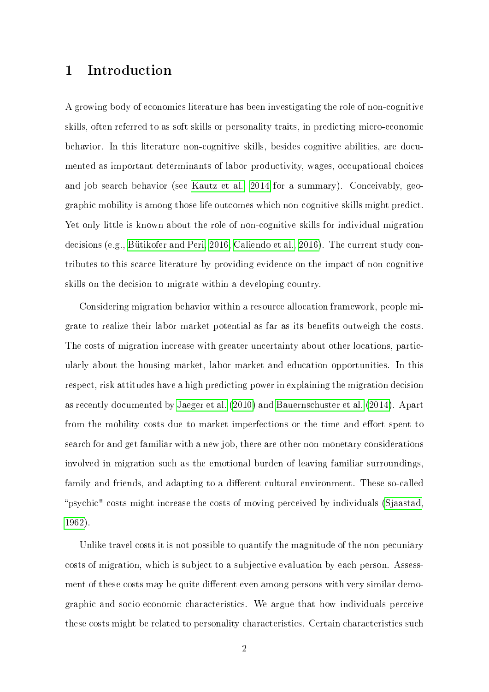## 1 Introduction

A growing body of economics literature has been investigating the role of non-cognitive skills, often referred to as soft skills or personality traits, in predicting micro-economic behavior. In this literature non-cognitive skills, besides cognitive abilities, are documented as important determinants of labor productivity, wages, occupational choices and job search behavior (see [Kautz et al., 2014](#page-26-0) for a summary). Conceivably, geographic mobility is among those life outcomes which non-cognitive skills might predict. Yet only little is known about the role of non-cognitive skills for individual migration decisions (e.g., [Bütikofer and Peri, 2016,](#page-25-0) [Caliendo et al., 2016\)](#page-25-1). The current study contributes to this scarce literature by providing evidence on the impact of non-cognitive skills on the decision to migrate within a developing country.

Considering migration behavior within a resource allocation framework, people migrate to realize their labor market potential as far as its benets outweigh the costs. The costs of migration increase with greater uncertainty about other locations, particularly about the housing market, labor market and education opportunities. In this respect, risk attitudes have a high predicting power in explaining the migration decision as recently documented by [Jaeger et al.](#page-25-2) [\(2010\)](#page-25-2) and [Bauernschuster et al.](#page-24-0) [\(2014\)](#page-24-0). Apart from the mobility costs due to market imperfections or the time and effort spent to search for and get familiar with a new job, there are other non-monetary considerations involved in migration such as the emotional burden of leaving familiar surroundings, family and friends, and adapting to a different cultural environment. These so-called psychic" costs might increase the costs of moving perceived by individuals [\(Sjaastad,](#page-26-1) [1962\)](#page-26-1).

Unlike travel costs it is not possible to quantify the magnitude of the non-pecuniary costs of migration, which is subject to a subjective evaluation by each person. Assessment of these costs may be quite different even among persons with very similar demographic and socio-economic characteristics. We argue that how individuals perceive these costs might be related to personality characteristics. Certain characteristics such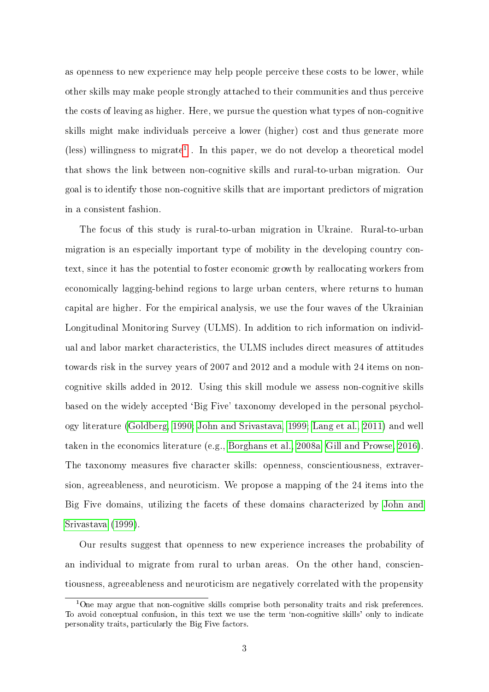as openness to new experience may help people perceive these costs to be lower, while other skills may make people strongly attached to their communities and thus perceive the costs of leaving as higher. Here, we pursue the question what types of non-cognitive skills might make individuals perceive a lower (higher) cost and thus generate more (less) willingness to migrate<sup>[1](#page-2-0)</sup>. In this paper, we do not develop a theoretical model that shows the link between non-cognitive skills and rural-to-urban migration. Our goal is to identify those non-cognitive skills that are important predictors of migration in a consistent fashion.

The focus of this study is rural-to-urban migration in Ukraine. Rural-to-urban migration is an especially important type of mobility in the developing country context, since it has the potential to foster economic growth by reallocating workers from economically lagging-behind regions to large urban centers, where returns to human capital are higher. For the empirical analysis, we use the four waves of the Ukrainian Longitudinal Monitoring Survey (ULMS). In addition to rich information on individual and labor market characteristics, the ULMS includes direct measures of attitudes towards risk in the survey years of 2007 and 2012 and a module with 24 items on noncognitive skills added in 2012. Using this skill module we assess non-cognitive skills based on the widely accepted `Big Five' taxonomy developed in the personal psychology literature [\(Goldberg, 1990;](#page-25-3) [John and Srivastava, 1999;](#page-25-4) [Lang et al., 2011\)](#page-26-2) and well taken in the economics literature (e.g., [Borghans et al., 2008a,](#page-25-5) [Gill and Prowse, 2016\)](#page-25-6). The taxonomy measures five character skills: openness, conscientiousness, extraversion, agreeableness, and neuroticism. We propose a mapping of the 24 items into the Big Five domains, utilizing the facets of these domains characterized by [John and](#page-25-4) [Srivastava](#page-25-4) [\(1999\)](#page-25-4).

Our results suggest that openness to new experience increases the probability of an individual to migrate from rural to urban areas. On the other hand, conscientiousness, agreeableness and neuroticism are negatively correlated with the propensity

<span id="page-2-0"></span> $1$ One may argue that non-cognitive skills comprise both personality traits and risk preferences. To avoid conceptual confusion, in this text we use the term `non-cognitive skills' only to indicate personality traits, particularly the Big Five factors.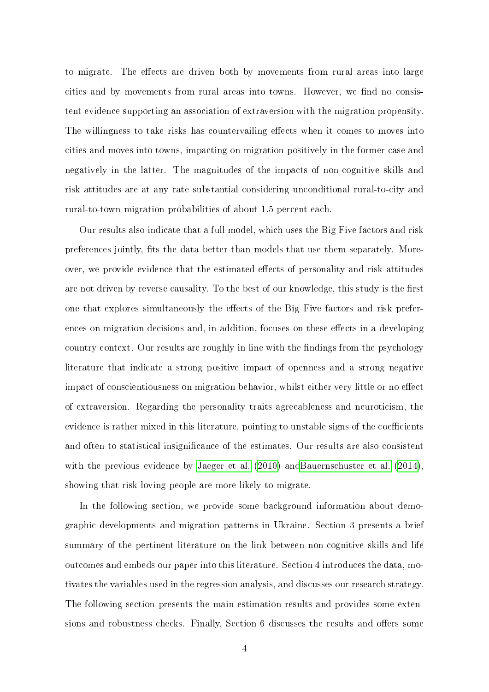to migrate. The effects are driven both by movements from rural areas into large cities and by movements from rural areas into towns. However, we find no consistent evidence supporting an association of extraversion with the migration propensity. The willingness to take risks has countervailing effects when it comes to moves into cities and moves into towns, impacting on migration positively in the former case and negatively in the latter. The magnitudes of the impacts of non-cognitive skills and risk attitudes are at any rate substantial considering unconditional rural-to-city and rural-to-town migration probabilities of about 1.5 percent each.

Our results also indicate that a full model, which uses the Big Five factors and risk preferences jointly, fits the data better than models that use them separately. Moreover, we provide evidence that the estimated effects of personality and risk attitudes are not driven by reverse causality. To the best of our knowledge, this study is the first one that explores simultaneously the effects of the Big Five factors and risk preferences on migration decisions and, in addition, focuses on these effects in a developing country context. Our results are roughly in line with the findings from the psychology literature that indicate a strong positive impact of openness and a strong negative impact of conscientiousness on migration behavior, whilst either very little or no effect of extraversion. Regarding the personality traits agreeableness and neuroticism, the evidence is rather mixed in this literature, pointing to unstable signs of the coefficients and often to statistical insignificance of the estimates. Our results are also consistent with the previous evidence by [Jaeger et al.](#page-25-2) [\(2010\)](#page-25-2) an[dBauernschuster et al.](#page-24-0) [\(2014\)](#page-24-0), showing that risk loving people are more likely to migrate.

In the following section, we provide some background information about demographic developments and migration patterns in Ukraine. Section 3 presents a brief summary of the pertinent literature on the link between non-cognitive skills and life outcomes and embeds our paper into this literature. Section 4 introduces the data, motivates the variables used in the regression analysis, and discusses our research strategy. The following section presents the main estimation results and provides some extensions and robustness checks. Finally, Section 6 discusses the results and offers some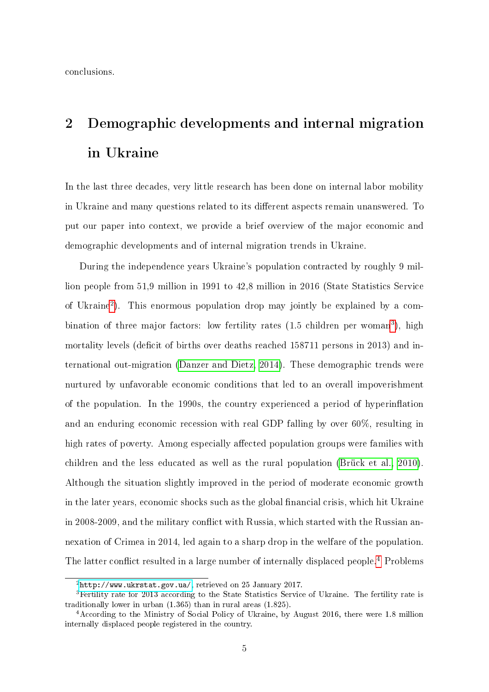conclusions.

# 2 Demographic developments and internal migration in Ukraine

In the last three decades, very little research has been done on internal labor mobility in Ukraine and many questions related to its different aspects remain unanswered. To put our paper into context, we provide a brief overview of the major economic and demographic developments and of internal migration trends in Ukraine.

During the independence years Ukraine's population contracted by roughly 9 million people from 51,9 million in 1991 to 42,8 million in 2016 (State Statistics Service of Ukraine[2](#page-4-0) ). This enormous population drop may jointly be explained by a combination of three major factors: low fertility rates  $(1.5 \text{ children per woman}^3)$  $(1.5 \text{ children per woman}^3)$  $(1.5 \text{ children per woman}^3)$ , high mortality levels (deficit of births over deaths reached 158711 persons in 2013) and international out-migration [\(Danzer and Dietz, 2014\)](#page-25-7). These demographic trends were nurtured by unfavorable economic conditions that led to an overall impoverishment of the population. In the 1990s, the country experienced a period of hyperinflation and an enduring economic recession with real GDP falling by over 60%, resulting in high rates of poverty. Among especially affected population groups were families with children and the less educated as well as the rural population [\(Brück et al., 2010\)](#page-25-8). Although the situation slightly improved in the period of moderate economic growth in the later years, economic shocks such as the global financial crisis, which hit Ukraine in 2008-2009, and the military conflict with Russia, which started with the Russian annexation of Crimea in 2014, led again to a sharp drop in the welfare of the population. The latter conflict resulted in a large number of internally displaced people.<sup>[4](#page-4-2)</sup> Problems

<span id="page-4-1"></span><span id="page-4-0"></span> $2$ [http://www.ukrstat.gov.ua/,](http://www.ukrstat.gov.ua/) retrieved on 25 January 2017.

 ${}^{3}$ Fertility rate for 2013 according to the State Statistics Service of Ukraine. The fertility rate is traditionally lower in urban (1.365) than in rural areas (1.825).

<span id="page-4-2"></span><sup>4</sup>According to the Ministry of Social Policy of Ukraine, by August 2016, there were 1.8 million internally displaced people registered in the country.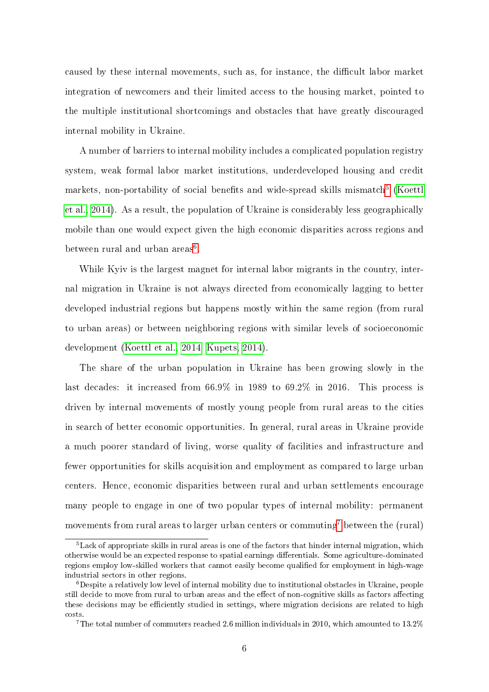caused by these internal movements, such as, for instance, the difficult labor market integration of newcomers and their limited access to the housing market, pointed to the multiple institutional shortcomings and obstacles that have greatly discouraged internal mobility in Ukraine.

A number of barriers to internal mobility includes a complicated population registry system, weak formal labor market institutions, underdeveloped housing and credit  $\text{markets, non-portability of social benefits and wide-spread skills mismatch}^{5} \ \text{(Koettl)}{}$  $\text{markets, non-portability of social benefits and wide-spread skills mismatch}^{5} \ \text{(Koettl)}{}$  $\text{markets, non-portability of social benefits and wide-spread skills mismatch}^{5} \ \text{(Koettl)}{}$  $\text{markets, non-portability of social benefits and wide-spread skills mismatch}^{5} \ \text{(Koettl)}{}$  $\text{markets, non-portability of social benefits and wide-spread skills mismatch}^{5} \ \text{(Koettl)}{}$ [et al., 2014\)](#page-26-3). As a result, the population of Ukraine is considerably less geographically mobile than one would expect given the high economic disparities across regions and between rural and urban  $\mathrm{areas}^6.$  $\mathrm{areas}^6.$  $\mathrm{areas}^6.$ 

While Kyiv is the largest magnet for internal labor migrants in the country, internal migration in Ukraine is not always directed from economically lagging to better developed industrial regions but happens mostly within the same region (from rural to urban areas) or between neighboring regions with similar levels of socioeconomic development [\(Koettl et al., 2014,](#page-26-3) [Kupets, 2014\)](#page-26-4).

The share of the urban population in Ukraine has been growing slowly in the last decades: it increased from 66.9% in 1989 to 69.2% in 2016. This process is driven by internal movements of mostly young people from rural areas to the cities in search of better economic opportunities. In general, rural areas in Ukraine provide a much poorer standard of living, worse quality of facilities and infrastructure and fewer opportunities for skills acquisition and employment as compared to large urban centers. Hence, economic disparities between rural and urban settlements encourage many people to engage in one of two popular types of internal mobility: permanent movements from rural areas to larger urban centers or commuting<sup>[7](#page-5-2)</sup> between the (rural)

<span id="page-5-0"></span> $5$ Lack of appropriate skills in rural areas is one of the factors that hinder internal migration, which otherwise would be an expected response to spatial earnings differentials. Some agriculture-dominated regions employ low-skilled workers that cannot easily become qualified for employment in high-wage industrial sectors in other regions.

<span id="page-5-1"></span> ${}^{6}$ Despite a relatively low level of internal mobility due to institutional obstacles in Ukraine, people still decide to move from rural to urban areas and the effect of non-cognitive skills as factors affecting these decisions may be efficiently studied in settings, where migration decisions are related to high costs.

<span id="page-5-2"></span><sup>&</sup>lt;sup>7</sup>The total number of commuters reached 2.6 million individuals in 2010, which amounted to 13.2%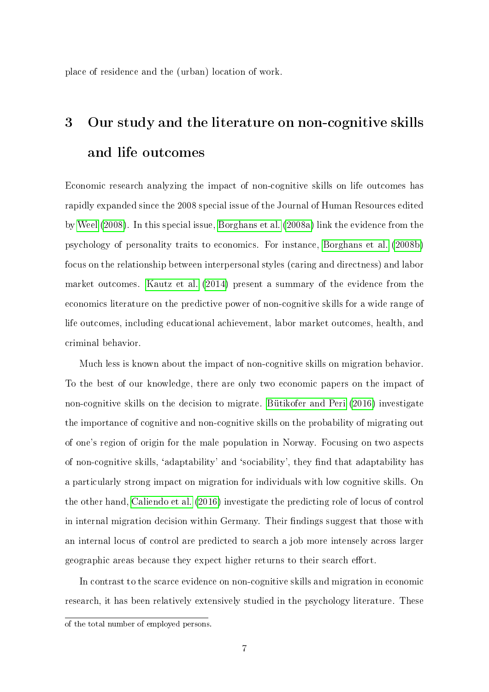place of residence and the (urban) location of work.

# 3 Our study and the literature on non-cognitive skills and life outcomes

Economic research analyzing the impact of non-cognitive skills on life outcomes has rapidly expanded since the 2008 special issue of the Journal of Human Resources edited by [Weel](#page-26-5) [\(2008\)](#page-26-5). In this special issue, [Borghans et al.](#page-25-5) [\(2008a\)](#page-25-5) link the evidence from the psychology of personality traits to economics. For instance, [Borghans et al.](#page-25-9) [\(2008b\)](#page-25-9) focus on the relationship between interpersonal styles (caring and directness) and labor market outcomes. [Kautz et al.](#page-26-0) [\(2014\)](#page-26-0) present a summary of the evidence from the economics literature on the predictive power of non-cognitive skills for a wide range of life outcomes, including educational achievement, labor market outcomes, health, and criminal behavior.

Much less is known about the impact of non-cognitive skills on migration behavior. To the best of our knowledge, there are only two economic papers on the impact of non-cognitive skills on the decision to migrate. [Bütikofer and Peri](#page-25-0) [\(2016\)](#page-25-0) investigate the importance of cognitive and non-cognitive skills on the probability of migrating out of one's region of origin for the male population in Norway. Focusing on two aspects of non-cognitive skills, 'adaptability' and 'sociability', they find that adaptability has a particularly strong impact on migration for individuals with low cognitive skills. On the other hand, [Caliendo et al.](#page-25-1) [\(2016\)](#page-25-1) investigate the predicting role of locus of control in internal migration decision within Germany. Their findings suggest that those with an internal locus of control are predicted to search a job more intensely across larger geographic areas because they expect higher returns to their search effort.

In contrast to the scarce evidence on non-cognitive skills and migration in economic research, it has been relatively extensively studied in the psychology literature. These

of the total number of employed persons.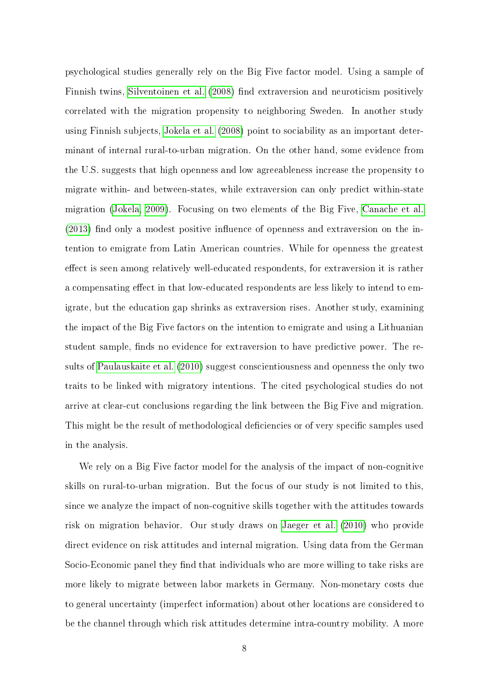psychological studies generally rely on the Big Five factor model. Using a sample of Finnish twins, [Silventoinen et al.](#page-26-6) [\(2008\)](#page-26-6) find extraversion and neuroticism positively correlated with the migration propensity to neighboring Sweden. In another study using Finnish subjects, [Jokela et al.](#page-26-7) [\(2008\)](#page-26-7) point to sociability as an important determinant of internal rural-to-urban migration. On the other hand, some evidence from the U.S. suggests that high openness and low agreeableness increase the propensity to migrate within- and between-states, while extraversion can only predict within-state migration [\(Jokela, 2009\)](#page-26-8). Focusing on two elements of the Big Five, [Canache et al.](#page-25-10)  $(2013)$  find only a modest positive influence of openness and extraversion on the intention to emigrate from Latin American countries. While for openness the greatest effect is seen among relatively well-educated respondents, for extraversion it is rather a compensating effect in that low-educated respondents are less likely to intend to emigrate, but the education gap shrinks as extraversion rises. Another study, examining the impact of the Big Five factors on the intention to emigrate and using a Lithuanian student sample, finds no evidence for extraversion to have predictive power. The results of [Paulauskaite et al.](#page-26-9) [\(2010\)](#page-26-9) suggest conscientiousness and openness the only two traits to be linked with migratory intentions. The cited psychological studies do not arrive at clear-cut conclusions regarding the link between the Big Five and migration. This might be the result of methodological deficiencies or of very specific samples used in the analysis.

We rely on a Big Five factor model for the analysis of the impact of non-cognitive skills on rural-to-urban migration. But the focus of our study is not limited to this, since we analyze the impact of non-cognitive skills together with the attitudes towards risk on migration behavior. Our study draws on [Jaeger et al.](#page-25-2) [\(2010\)](#page-25-2) who provide direct evidence on risk attitudes and internal migration. Using data from the German Socio-Economic panel they find that individuals who are more willing to take risks are more likely to migrate between labor markets in Germany. Non-monetary costs due to general uncertainty (imperfect information) about other locations are considered to be the channel through which risk attitudes determine intra-country mobility. A more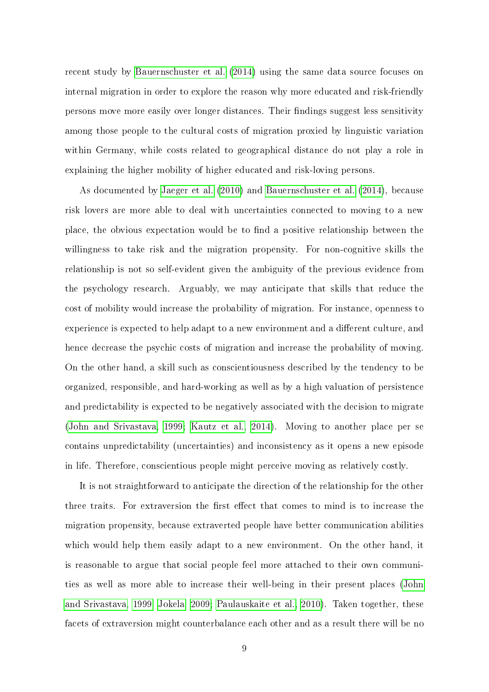recent study by [Bauernschuster et al.](#page-24-0) [\(2014\)](#page-24-0) using the same data source focuses on internal migration in order to explore the reason why more educated and risk-friendly persons move more easily over longer distances. Their findings suggest less sensitivity among those people to the cultural costs of migration proxied by linguistic variation within Germany, while costs related to geographical distance do not play a role in explaining the higher mobility of higher educated and risk-loving persons.

As documented by [Jaeger et al.](#page-25-2) [\(2010\)](#page-25-2) and [Bauernschuster et al.](#page-24-0) [\(2014\)](#page-24-0), because risk lovers are more able to deal with uncertainties connected to moving to a new place, the obvious expectation would be to find a positive relationship between the willingness to take risk and the migration propensity. For non-cognitive skills the relationship is not so self-evident given the ambiguity of the previous evidence from the psychology research. Arguably, we may anticipate that skills that reduce the cost of mobility would increase the probability of migration. For instance, openness to experience is expected to help adapt to a new environment and a different culture, and hence decrease the psychic costs of migration and increase the probability of moving. On the other hand, a skill such as conscientiousness described by the tendency to be organized, responsible, and hard-working as well as by a high valuation of persistence and predictability is expected to be negatively associated with the decision to migrate [\(John and Srivastava, 1999;](#page-25-4) [Kautz et al., 2014\)](#page-26-0). Moving to another place per se contains unpredictability (uncertainties) and inconsistency as it opens a new episode in life. Therefore, conscientious people might perceive moving as relatively costly.

It is not straightforward to anticipate the direction of the relationship for the other three traits. For extraversion the first effect that comes to mind is to increase the migration propensity, because extraverted people have better communication abilities which would help them easily adapt to a new environment. On the other hand, it is reasonable to argue that social people feel more attached to their own communities as well as more able to increase their well-being in their present places [\(John](#page-25-4) [and Srivastava, 1999;](#page-25-4) [Jokela, 2009;](#page-26-8) [Paulauskaite et al., 2010\)](#page-26-9). Taken together, these facets of extraversion might counterbalance each other and as a result there will be no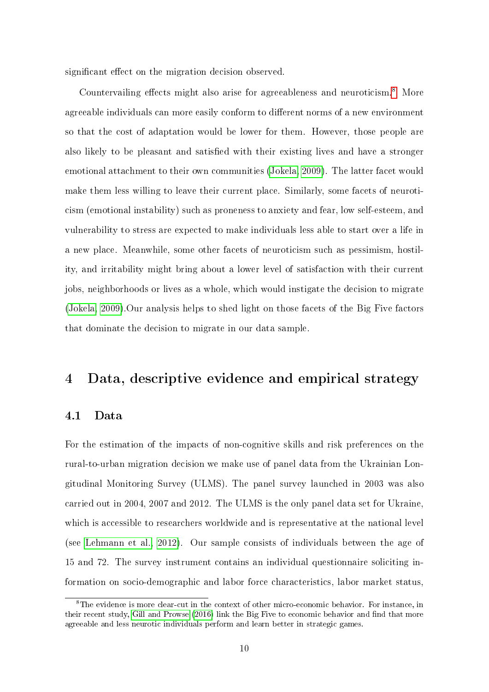significant effect on the migration decision observed.

Countervailing effects might also arise for agreeableness and neuroticism.<sup>[8](#page-9-0)</sup> More agreeable individuals can more easily conform to different norms of a new environment so that the cost of adaptation would be lower for them. However, those people are also likely to be pleasant and satisfied with their existing lives and have a stronger emotional attachment to their own communities [\(Jokela, 2009\)](#page-26-8). The latter facet would make them less willing to leave their current place. Similarly, some facets of neuroticism (emotional instability) such as proneness to anxiety and fear, low self-esteem, and vulnerability to stress are expected to make individuals less able to start over a life in a new place. Meanwhile, some other facets of neuroticism such as pessimism, hostility, and irritability might bring about a lower level of satisfaction with their current jobs, neighborhoods or lives as a whole, which would instigate the decision to migrate [\(Jokela, 2009\)](#page-26-8).Our analysis helps to shed light on those facets of the Big Five factors that dominate the decision to migrate in our data sample.

### 4 Data, descriptive evidence and empirical strategy

#### 4.1 Data

For the estimation of the impacts of non-cognitive skills and risk preferences on the rural-to-urban migration decision we make use of panel data from the Ukrainian Longitudinal Monitoring Survey (ULMS). The panel survey launched in 2003 was also carried out in 2004, 2007 and 2012. The ULMS is the only panel data set for Ukraine, which is accessible to researchers worldwide and is representative at the national level (see [Lehmann et al., 2012\)](#page-26-10). Our sample consists of individuals between the age of 15 and 72. The survey instrument contains an individual questionnaire soliciting information on socio-demographic and labor force characteristics, labor market status,

<span id="page-9-0"></span><sup>&</sup>lt;sup>8</sup>The evidence is more clear-cut in the context of other micro-economic behavior. For instance, in their recent study, [Gill and Prowse](#page-25-6) [\(2016\)](#page-25-6) link the Big Five to economic behavior and find that more agreeable and less neurotic individuals perform and learn better in strategic games.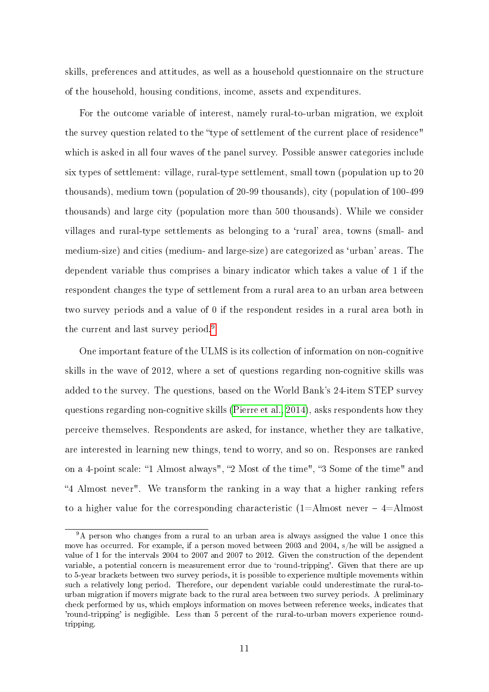skills, preferences and attitudes, as well as a household questionnaire on the structure of the household, housing conditions, income, assets and expenditures.

For the outcome variable of interest, namely rural-to-urban migration, we exploit the survey question related to the "type of settlement of the current place of residence" which is asked in all four waves of the panel survey. Possible answer categories include six types of settlement: village, rural-type settlement, small town (population up to 20 thousands), medium town (population of 20-99 thousands), city (population of 100-499 thousands) and large city (population more than 500 thousands). While we consider villages and rural-type settlements as belonging to a `rural' area, towns (small- and medium-size) and cities (medium- and large-size) are categorized as `urban' areas. The dependent variable thus comprises a binary indicator which takes a value of 1 if the respondent changes the type of settlement from a rural area to an urban area between two survey periods and a value of 0 if the respondent resides in a rural area both in the current and last survey period.<sup>[9](#page-10-0)</sup>

One important feature of the ULMS is its collection of information on non-cognitive skills in the wave of 2012, where a set of questions regarding non-cognitive skills was added to the survey. The questions, based on the World Bank's 24-item STEP survey questions regarding non-cognitive skills [\(Pierre et al., 2014\)](#page-26-11), asks respondents how they perceive themselves. Respondents are asked, for instance, whether they are talkative, are interested in learning new things, tend to worry, and so on. Responses are ranked on a 4-point scale: "1 Almost always", "2 Most of the time", "3 Some of the time" and 4 Almost never". We transform the ranking in a way that a higher ranking refers to a higher value for the corresponding characteristic  $(1=$ Almost never  $-4=$ Almost

<span id="page-10-0"></span><sup>&</sup>lt;sup>9</sup>A person who changes from a rural to an urban area is always assigned the value 1 once this move has occurred. For example, if a person moved between 2003 and 2004, s/he will be assigned a value of 1 for the intervals 2004 to 2007 and 2007 to 2012. Given the construction of the dependent variable, a potential concern is measurement error due to 'round-tripping'. Given that there are up to 5-year brackets between two survey periods, it is possible to experience multiple movements within such a relatively long period. Therefore, our dependent variable could underestimate the rural-tourban migration if movers migrate back to the rural area between two survey periods. A preliminary check performed by us, which employs information on moves between reference weeks, indicates that 'round-tripping' is negligible. Less than 5 percent of the rural-to-urban movers experience roundtripping.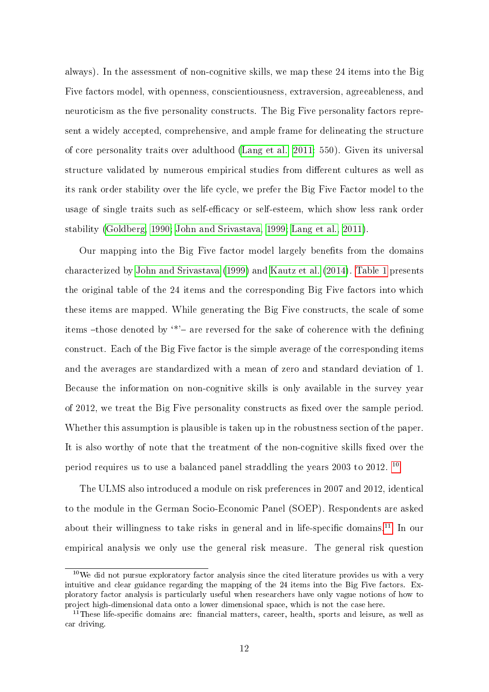always). In the assessment of non-cognitive skills, we map these 24 items into the Big Five factors model, with openness, conscientiousness, extraversion, agreeableness, and neuroticism as the five personality constructs. The Big Five personality factors represent a widely accepted, comprehensive, and ample frame for delineating the structure of core personality traits over adulthood [\(Lang et al., 2011:](#page-26-2) 550). Given its universal structure validated by numerous empirical studies from different cultures as well as its rank order stability over the life cycle, we prefer the Big Five Factor model to the usage of single traits such as self-efficacy or self-esteem, which show less rank order stability [\(Goldberg, 1990;](#page-25-3) [John and Srivastava, 1999;](#page-25-4) [Lang et al., 2011\)](#page-26-2).

Our mapping into the Big Five factor model largely benefits from the domains characterized by [John and Srivastava](#page-25-4) [\(1999\)](#page-25-4) and [Kautz et al.](#page-26-0) [\(2014\)](#page-26-0). [Table 1](#page-29-0) presents the original table of the 24 items and the corresponding Big Five factors into which these items are mapped. While generating the Big Five constructs, the scale of some items -those denoted by  $*$ '- are reversed for the sake of coherence with the defining construct. Each of the Big Five factor is the simple average of the corresponding items and the averages are standardized with a mean of zero and standard deviation of 1. Because the information on non-cognitive skills is only available in the survey year of  $2012$ , we treat the Big Five personality constructs as fixed over the sample period. Whether this assumption is plausible is taken up in the robustness section of the paper. It is also worthy of note that the treatment of the non-cognitive skills fixed over the period requires us to use a balanced panel straddling the years 2003 to 2012. [10](#page-11-0)

The ULMS also introduced a module on risk preferences in 2007 and 2012, identical to the module in the German Socio-Economic Panel (SOEP). Respondents are asked about their willingness to take risks in general and in life-specific domains.<sup>[11](#page-11-1)</sup> In our empirical analysis we only use the general risk measure. The general risk question

<span id="page-11-0"></span> $10$ We did not pursue exploratory factor analysis since the cited literature provides us with a very intuitive and clear guidance regarding the mapping of the 24 items into the Big Five factors. Exploratory factor analysis is particularly useful when researchers have only vague notions of how to project high-dimensional data onto a lower dimensional space, which is not the case here.

<span id="page-11-1"></span> $11$ These life-specific domains are: financial matters, career, health, sports and leisure, as well as car driving.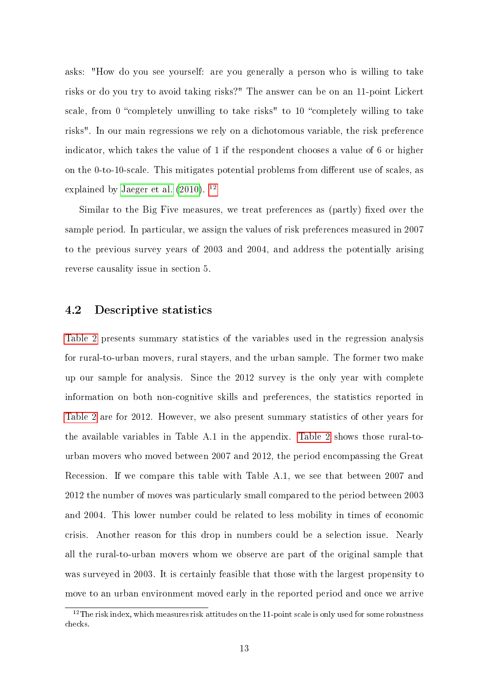asks: "How do you see yourself: are you generally a person who is willing to take risks or do you try to avoid taking risks?" The answer can be on an 11-point Lickert scale, from 0 "completely unwilling to take risks" to 10 "completely willing to take risks". In our main regressions we rely on a dichotomous variable, the risk preference indicator, which takes the value of 1 if the respondent chooses a value of 6 or higher on the 0-to-10-scale. This mitigates potential problems from different use of scales, as explained by [Jaeger et al.](#page-25-2)  $(2010)$ . <sup>[12](#page-12-0)</sup>

Similar to the Big Five measures, we treat preferences as  $(partly)$  fixed over the sample period. In particular, we assign the values of risk preferences measured in 2007 to the previous survey years of 2003 and 2004, and address the potentially arising reverse causality issue in section 5.

#### 4.2 Descriptive statistics

[Table 2](#page-30-0) presents summary statistics of the variables used in the regression analysis for rural-to-urban movers, rural stayers, and the urban sample. The former two make up our sample for analysis. Since the 2012 survey is the only year with complete information on both non-cognitive skills and preferences, the statistics reported in [Table 2](#page-30-0) are for 2012. However, we also present summary statistics of other years for the available variables in Table A.1 in the appendix. [Table 2](#page-30-0) shows those rural-tourban movers who moved between 2007 and 2012, the period encompassing the Great Recession. If we compare this table with Table A.1, we see that between 2007 and 2012 the number of moves was particularly small compared to the period between 2003 and 2004. This lower number could be related to less mobility in times of economic crisis. Another reason for this drop in numbers could be a selection issue. Nearly all the rural-to-urban movers whom we observe are part of the original sample that was surveyed in 2003. It is certainly feasible that those with the largest propensity to move to an urban environment moved early in the reported period and once we arrive

<span id="page-12-0"></span> $12$ The risk index, which measures risk attitudes on the 11-point scale is only used for some robustness checks.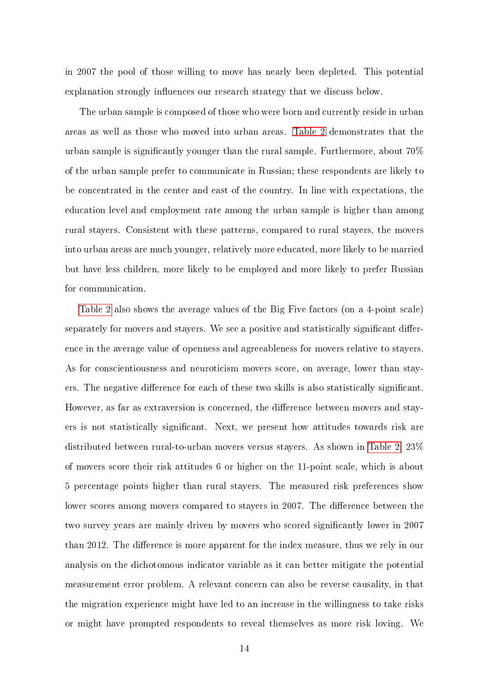in 2007 the pool of those willing to move has nearly been depleted. This potential explanation strongly influences our research strategy that we discuss below.

The urban sample is composed of those who were born and currently reside in urban areas as well as those who moved into urban areas. [Table 2](#page-30-0) demonstrates that the urban sample is signicantly younger than the rural sample. Furthermore, about 70% of the urban sample prefer to communicate in Russian; these respondents are likely to be concentrated in the center and east of the country. In line with expectations, the education level and employment rate among the urban sample is higher than among rural stayers. Consistent with these patterns, compared to rural stayers, the movers into urban areas are much younger, relatively more educated, more likely to be married but have less children, more likely to be employed and more likely to prefer Russian for communication.

[Table 2](#page-30-0) also shows the average values of the Big Five factors (on a 4-point scale) separately for movers and stayers. We see a positive and statistically significant difference in the average value of openness and agreeableness for movers relative to stayers. As for conscientiousness and neuroticism movers score, on average, lower than stayers. The negative difference for each of these two skills is also statistically significant. However, as far as extraversion is concerned, the difference between movers and stayers is not statistically signicant. Next, we present how attitudes towards risk are distributed between rural-to-urban movers versus stayers. As shown in [Table 2,](#page-30-0) 23% of movers score their risk attitudes 6 or higher on the 11-point scale, which is about 5 percentage points higher than rural stayers. The measured risk preferences show lower scores among movers compared to stayers in 2007. The difference between the two survey years are mainly driven by movers who scored signicantly lower in 2007 than 2012. The difference is more apparent for the index measure, thus we rely in our analysis on the dichotomous indicator variable as it can better mitigate the potential measurement error problem. A relevant concern can also be reverse causality, in that the migration experience might have led to an increase in the willingness to take risks or might have prompted respondents to reveal themselves as more risk loving. We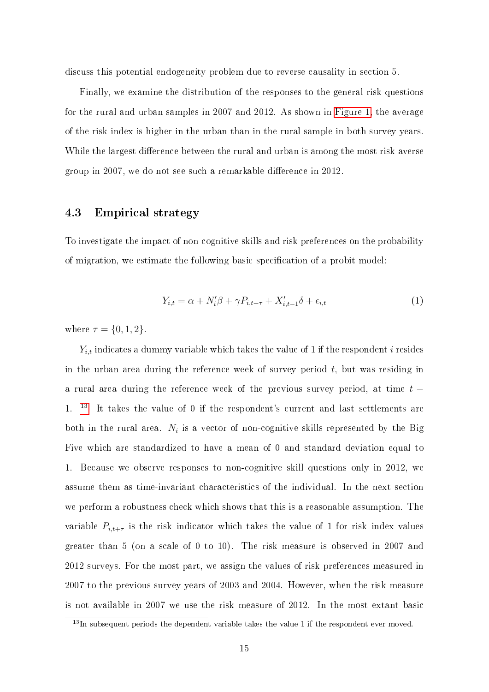discuss this potential endogeneity problem due to reverse causality in section 5.

Finally, we examine the distribution of the responses to the general risk questions for the rural and urban samples in 2007 and 2012. As shown in [Figure 1,](#page-28-0) the average of the risk index is higher in the urban than in the rural sample in both survey years. While the largest difference between the rural and urban is among the most risk-averse group in 2007, we do not see such a remarkable difference in 2012.

#### 4.3 Empirical strategy

To investigate the impact of non-cognitive skills and risk preferences on the probability of migration, we estimate the following basic specification of a probit model:

$$
Y_{i,t} = \alpha + N_i'\beta + \gamma P_{i,t+\tau} + X_{i,t-1}'\delta + \epsilon_{i,t}
$$
\n<sup>(1)</sup>

where  $\tau = \{0, 1, 2\}.$ 

 $Y_{i,t}$  indicates a dummy variable which takes the value of 1 if the respondent i resides in the urban area during the reference week of survey period  $t$ , but was residing in a rural area during the reference week of the previous survey period, at time  $t -$ 1. [13](#page-14-0) It takes the value of 0 if the respondent's current and last settlements are both in the rural area.  $N_i$  is a vector of non-cognitive skills represented by the Big Five which are standardized to have a mean of 0 and standard deviation equal to 1. Because we observe responses to non-cognitive skill questions only in 2012, we assume them as time-invariant characteristics of the individual. In the next section we perform a robustness check which shows that this is a reasonable assumption. The variable  $P_{i,t+\tau}$  is the risk indicator which takes the value of 1 for risk index values greater than 5 (on a scale of 0 to 10). The risk measure is observed in 2007 and 2012 surveys. For the most part, we assign the values of risk preferences measured in 2007 to the previous survey years of 2003 and 2004. However, when the risk measure is not available in 2007 we use the risk measure of 2012. In the most extant basic

<span id="page-14-0"></span> $13$ In subsequent periods the dependent variable takes the value 1 if the respondent ever moved.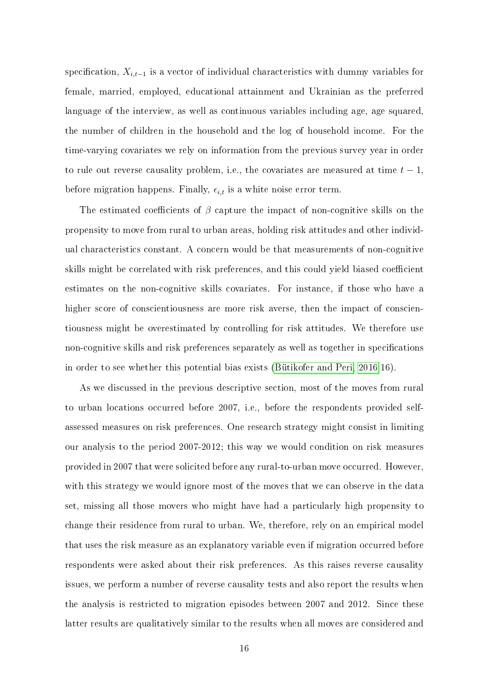specification,  $X_{i,t-1}$  is a vector of individual characteristics with dummy variables for female, married, employed, educational attainment and Ukrainian as the preferred language of the interview, as well as continuous variables including age, age squared, the number of children in the household and the log of household income. For the time-varying covariates we rely on information from the previous survey year in order to rule out reverse causality problem, i.e., the covariates are measured at time  $t - 1$ , before migration happens. Finally,  $\epsilon_{i,t}$  is a white noise error term.

The estimated coefficients of  $\beta$  capture the impact of non-cognitive skills on the propensity to move from rural to urban areas, holding risk attitudes and other individual characteristics constant. A concern would be that measurements of non-cognitive skills might be correlated with risk preferences, and this could yield biased coefficient estimates on the non-cognitive skills covariates. For instance, if those who have a higher score of conscientiousness are more risk averse, then the impact of conscientiousness might be overestimated by controlling for risk attitudes. We therefore use non-cognitive skills and risk preferences separately as well as together in specifications in order to see whether this potential bias exists [\(Bütikofer and Peri, 2016:](#page-25-0)16).

As we discussed in the previous descriptive section, most of the moves from rural to urban locations occurred before 2007, i.e., before the respondents provided selfassessed measures on risk preferences. One research strategy might consist in limiting our analysis to the period 2007-2012; this way we would condition on risk measures provided in 2007 that were solicited before any rural-to-urban move occurred. However, with this strategy we would ignore most of the moves that we can observe in the data set, missing all those movers who might have had a particularly high propensity to change their residence from rural to urban. We, therefore, rely on an empirical model that uses the risk measure as an explanatory variable even if migration occurred before respondents were asked about their risk preferences. As this raises reverse causality issues, we perform a number of reverse causality tests and also report the results when the analysis is restricted to migration episodes between 2007 and 2012. Since these latter results are qualitatively similar to the results when all moves are considered and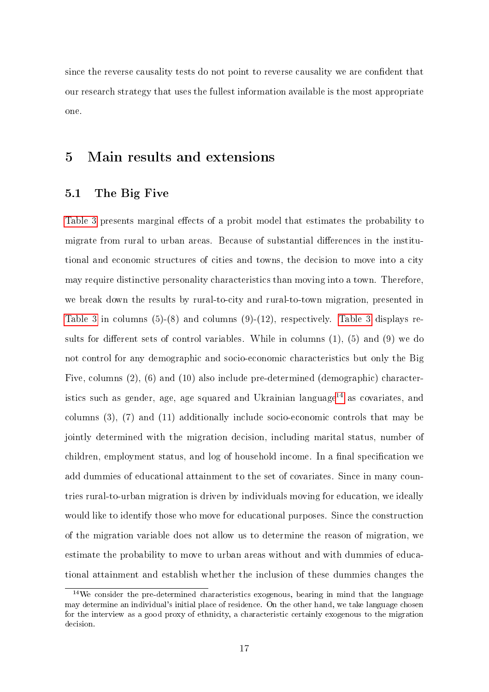since the reverse causality tests do not point to reverse causality we are condent that our research strategy that uses the fullest information available is the most appropriate one.

## 5 Main results and extensions

#### 5.1 The Big Five

[Table 3](#page-31-0) presents marginal effects of a probit model that estimates the probability to migrate from rural to urban areas. Because of substantial differences in the institutional and economic structures of cities and towns, the decision to move into a city may require distinctive personality characteristics than moving into a town. Therefore, we break down the results by rural-to-city and rural-to-town migration, presented in [Table 3](#page-31-0) in columns (5)-(8) and columns (9)-(12), respectively. [Table 3](#page-31-0) displays results for different sets of control variables. While in columns  $(1)$ ,  $(5)$  and  $(9)$  we do not control for any demographic and socio-economic characteristics but only the Big Five, columns (2), (6) and (10) also include pre-determined (demographic) character-istics such as gender, age, age squared and Ukrainian language<sup>[14](#page-16-0)</sup> as covariates, and columns (3), (7) and (11) additionally include socio-economic controls that may be jointly determined with the migration decision, including marital status, number of children, employment status, and log of household income. In a final specification we add dummies of educational attainment to the set of covariates. Since in many countries rural-to-urban migration is driven by individuals moving for education, we ideally would like to identify those who move for educational purposes. Since the construction of the migration variable does not allow us to determine the reason of migration, we estimate the probability to move to urban areas without and with dummies of educational attainment and establish whether the inclusion of these dummies changes the

<span id="page-16-0"></span> $14$ We consider the pre-determined characteristics exogenous, bearing in mind that the language may determine an individual's initial place of residence. On the other hand, we take language chosen for the interview as a good proxy of ethnicity, a characteristic certainly exogenous to the migration decision.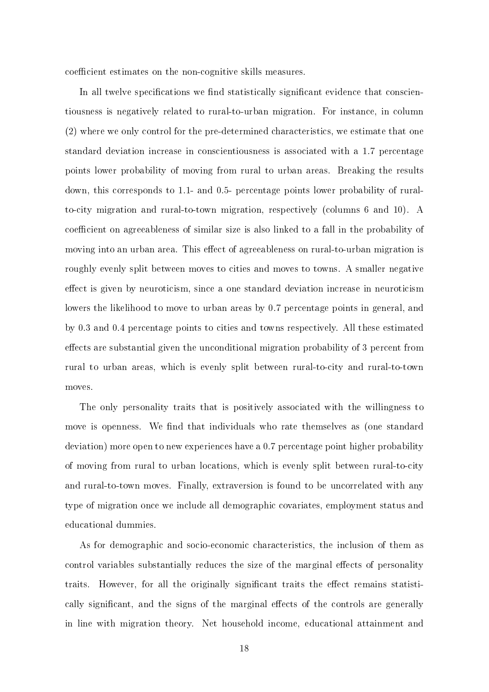coefficient estimates on the non-cognitive skills measures.

In all twelve specifications we find statistically significant evidence that conscientiousness is negatively related to rural-to-urban migration. For instance, in column (2) where we only control for the pre-determined characteristics, we estimate that one standard deviation increase in conscientiousness is associated with a 1.7 percentage points lower probability of moving from rural to urban areas. Breaking the results down, this corresponds to 1.1- and 0.5- percentage points lower probability of ruralto-city migration and rural-to-town migration, respectively (columns 6 and 10). A coefficient on agreeableness of similar size is also linked to a fall in the probability of moving into an urban area. This effect of agreeableness on rural-to-urban migration is roughly evenly split between moves to cities and moves to towns. A smaller negative effect is given by neuroticism, since a one standard deviation increase in neuroticism lowers the likelihood to move to urban areas by 0.7 percentage points in general, and by 0.3 and 0.4 percentage points to cities and towns respectively. All these estimated effects are substantial given the unconditional migration probability of 3 percent from rural to urban areas, which is evenly split between rural-to-city and rural-to-town moves.

The only personality traits that is positively associated with the willingness to move is openness. We find that individuals who rate themselves as (one standard deviation) more open to new experiences have a 0.7 percentage point higher probability of moving from rural to urban locations, which is evenly split between rural-to-city and rural-to-town moves. Finally, extraversion is found to be uncorrelated with any type of migration once we include all demographic covariates, employment status and educational dummies.

As for demographic and socio-economic characteristics, the inclusion of them as control variables substantially reduces the size of the marginal effects of personality traits. However, for all the originally significant traits the effect remains statistically significant, and the signs of the marginal effects of the controls are generally in line with migration theory. Net household income, educational attainment and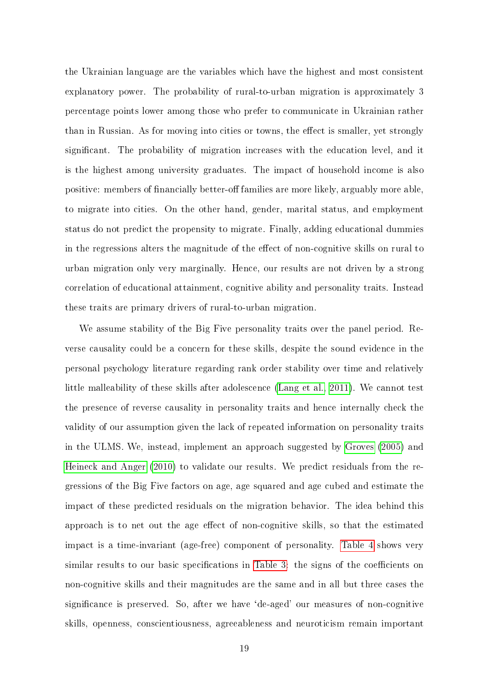the Ukrainian language are the variables which have the highest and most consistent explanatory power. The probability of rural-to-urban migration is approximately 3 percentage points lower among those who prefer to communicate in Ukrainian rather than in Russian. As for moving into cities or towns, the effect is smaller, yet strongly signicant. The probability of migration increases with the education level, and it is the highest among university graduates. The impact of household income is also positive: members of financially better-off families are more likely, arguably more able, to migrate into cities. On the other hand, gender, marital status, and employment status do not predict the propensity to migrate. Finally, adding educational dummies in the regressions alters the magnitude of the effect of non-cognitive skills on rural to urban migration only very marginally. Hence, our results are not driven by a strong correlation of educational attainment, cognitive ability and personality traits. Instead these traits are primary drivers of rural-to-urban migration.

We assume stability of the Big Five personality traits over the panel period. Reverse causality could be a concern for these skills, despite the sound evidence in the personal psychology literature regarding rank order stability over time and relatively little malleability of these skills after adolescence [\(Lang et al., 2011\)](#page-26-2). We cannot test the presence of reverse causality in personality traits and hence internally check the validity of our assumption given the lack of repeated information on personality traits in the ULMS. We, instead, implement an approach suggested by [Groves](#page-25-11) [\(2005\)](#page-25-11) and [Heineck and Anger](#page-25-12) [\(2010\)](#page-25-12) to validate our results. We predict residuals from the regressions of the Big Five factors on age, age squared and age cubed and estimate the impact of these predicted residuals on the migration behavior. The idea behind this approach is to net out the age effect of non-cognitive skills, so that the estimated impact is a time-invariant (age-free) component of personality. [Table 4](#page-32-0) shows very similar results to our basic specifications in [Table 3:](#page-31-0) the signs of the coefficients on non-cognitive skills and their magnitudes are the same and in all but three cases the significance is preserved. So, after we have 'de-aged' our measures of non-cognitive skills, openness, conscientiousness, agreeableness and neuroticism remain important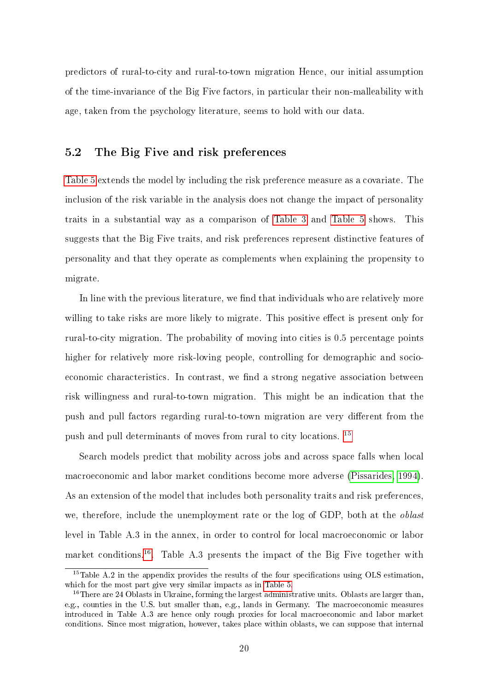predictors of rural-to-city and rural-to-town migration Hence, our initial assumption of the time-invariance of the Big Five factors, in particular their non-malleability with age, taken from the psychology literature, seems to hold with our data.

#### 5.2 The Big Five and risk preferences

[Table 5](#page-33-0) extends the model by including the risk preference measure as a covariate. The inclusion of the risk variable in the analysis does not change the impact of personality traits in a substantial way as a comparison of [Table 3](#page-31-0) and [Table 5](#page-33-0) shows. This suggests that the Big Five traits, and risk preferences represent distinctive features of personality and that they operate as complements when explaining the propensity to migrate.

In line with the previous literature, we find that individuals who are relatively more willing to take risks are more likely to migrate. This positive effect is present only for rural-to-city migration. The probability of moving into cities is 0.5 percentage points higher for relatively more risk-loving people, controlling for demographic and socioeconomic characteristics. In contrast, we find a strong negative association between risk willingness and rural-to-town migration. This might be an indication that the push and pull factors regarding rural-to-town migration are very different from the push and pull determinants of moves from rural to city locations. [15](#page-19-0)

Search models predict that mobility across jobs and across space falls when local macroeconomic and labor market conditions become more adverse [\(Pissarides, 1994\)](#page-26-12). As an extension of the model that includes both personality traits and risk preferences, we, therefore, include the unemployment rate or the log of GDP, both at the *oblast* level in Table A.3 in the annex, in order to control for local macroeconomic or labor market conditions.<sup>[16](#page-19-1)</sup>. Table A.3 presents the impact of the Big Five together with

<span id="page-19-0"></span> $15$ Table A.2 in the appendix provides the results of the four specifications using OLS estimation, which for the most part give very similar impacts as in [Table 5.](#page-33-0)

<span id="page-19-1"></span><sup>&</sup>lt;sup>16</sup>There are 24 Oblasts in Ukraine, forming the largest administrative units. Oblasts are larger than, e.g., counties in the U.S. but smaller than, e.g., lands in Germany. The macroeconomic measures introduced in Table A.3 are hence only rough proxies for local macroeconomic and labor market conditions. Since most migration, however, takes place within oblasts, we can suppose that internal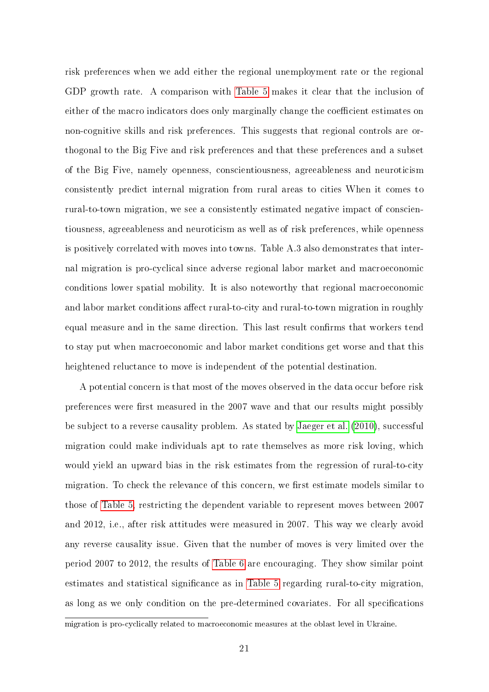risk preferences when we add either the regional unemployment rate or the regional GDP growth rate. A comparison with [Table 5](#page-33-0) makes it clear that the inclusion of either of the macro indicators does only marginally change the coefficient estimates on non-cognitive skills and risk preferences. This suggests that regional controls are orthogonal to the Big Five and risk preferences and that these preferences and a subset of the Big Five, namely openness, conscientiousness, agreeableness and neuroticism consistently predict internal migration from rural areas to cities When it comes to rural-to-town migration, we see a consistently estimated negative impact of conscientiousness, agreeableness and neuroticism as well as of risk preferences, while openness is positively correlated with moves into towns. Table A.3 also demonstrates that internal migration is pro-cyclical since adverse regional labor market and macroeconomic conditions lower spatial mobility. It is also noteworthy that regional macroeconomic and labor market conditions affect rural-to-city and rural-to-town migration in roughly equal measure and in the same direction. This last result confirms that workers tend to stay put when macroeconomic and labor market conditions get worse and that this heightened reluctance to move is independent of the potential destination.

A potential concern is that most of the moves observed in the data occur before risk preferences were first measured in the 2007 wave and that our results might possibly be subject to a reverse causality problem. As stated by [Jaeger et al.](#page-25-2) [\(2010\)](#page-25-2), successful migration could make individuals apt to rate themselves as more risk loving, which would yield an upward bias in the risk estimates from the regression of rural-to-city migration. To check the relevance of this concern, we first estimate models similar to those of [Table 5,](#page-33-0) restricting the dependent variable to represent moves between 2007 and 2012, i.e., after risk attitudes were measured in 2007. This way we clearly avoid any reverse causality issue. Given that the number of moves is very limited over the period 2007 to 2012, the results of [Table 6](#page-34-0) are encouraging. They show similar point estimates and statistical significance as in [Table 5](#page-33-0) regarding rural-to-city migration, as long as we only condition on the pre-determined covariates. For all specifications

migration is pro-cyclically related to macroeconomic measures at the oblast level in Ukraine.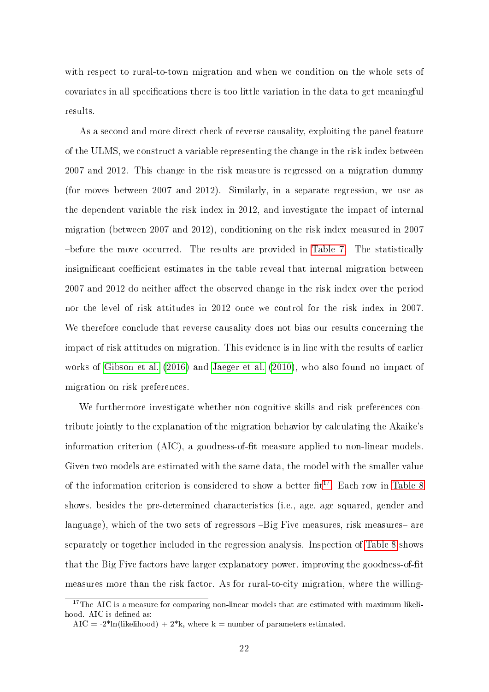with respect to rural-to-town migration and when we condition on the whole sets of covariates in all specifications there is too little variation in the data to get meaningful results.

As a second and more direct check of reverse causality, exploiting the panel feature of the ULMS, we construct a variable representing the change in the risk index between 2007 and 2012. This change in the risk measure is regressed on a migration dummy (for moves between 2007 and 2012). Similarly, in a separate regression, we use as the dependent variable the risk index in 2012, and investigate the impact of internal migration (between 2007 and 2012), conditioning on the risk index measured in 2007 before the move occurred. The results are provided in [Table 7.](#page-34-1) The statistically insignificant coefficient estimates in the table reveal that internal migration between  $2007$  and  $2012$  do neither affect the observed change in the risk index over the period nor the level of risk attitudes in 2012 once we control for the risk index in 2007. We therefore conclude that reverse causality does not bias our results concerning the impact of risk attitudes on migration. This evidence is in line with the results of earlier works of [Gibson et al.](#page-25-13) [\(2016\)](#page-25-13) and [Jaeger et al.](#page-25-2) [\(2010\)](#page-25-2), who also found no impact of migration on risk preferences.

We furthermore investigate whether non-cognitive skills and risk preferences contribute jointly to the explanation of the migration behavior by calculating the Akaike's information criterion  $(AIC)$ , a goodness-of-fit measure applied to non-linear models. Given two models are estimated with the same data, the model with the smaller value of the information criterion is considered to show a better  $fit^{17}$  $fit^{17}$  $fit^{17}$ . Each row in [Table 8](#page-35-0) shows, besides the pre-determined characteristics (i.e., age, age squared, gender and language), which of the two sets of regressors -Big Five measures, risk measures- are separately or together included in the regression analysis. Inspection of [Table 8](#page-35-0) shows that the Big Five factors have larger explanatory power, improving the goodness-of-fit measures more than the risk factor. As for rural-to-city migration, where the willing-

<span id="page-21-0"></span><sup>&</sup>lt;sup>17</sup>The AIC is a measure for comparing non-linear models that are estimated with maximum likelihood. AIC is defined as:

AIC =  $-2^*$ ln(likelihood) +  $2^*$ k, where k = number of parameters estimated.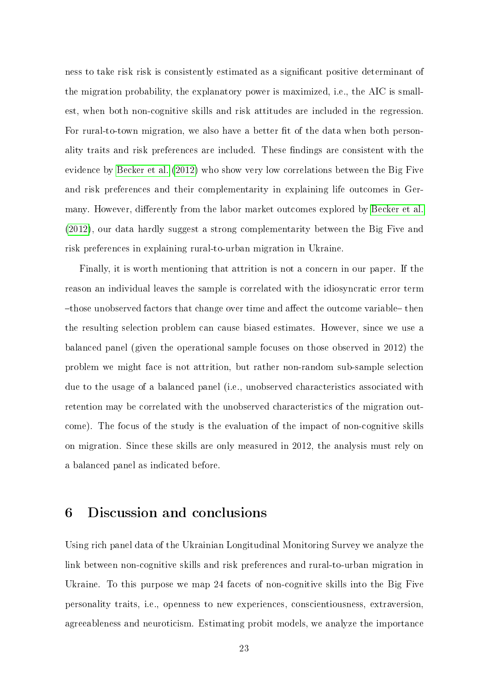ness to take risk risk is consistently estimated as a signicant positive determinant of the migration probability, the explanatory power is maximized, i.e., the AIC is smallest, when both non-cognitive skills and risk attitudes are included in the regression. For rural-to-town migration, we also have a better fit of the data when both personality traits and risk preferences are included. These findings are consistent with the evidence by [Becker et al.](#page-25-14) [\(2012\)](#page-25-14) who show very low correlations between the Big Five and risk preferences and their complementarity in explaining life outcomes in Ger-many. However, differently from the labor market outcomes explored by [Becker et al.](#page-25-14) [\(2012\)](#page-25-14), our data hardly suggest a strong complementarity between the Big Five and risk preferences in explaining rural-to-urban migration in Ukraine.

Finally, it is worth mentioning that attrition is not a concern in our paper. If the reason an individual leaves the sample is correlated with the idiosyncratic error term  $-$ those unobserved factors that change over time and affect the outcome variable  $-$  then the resulting selection problem can cause biased estimates. However, since we use a balanced panel (given the operational sample focuses on those observed in 2012) the problem we might face is not attrition, but rather non-random sub-sample selection due to the usage of a balanced panel (i.e., unobserved characteristics associated with retention may be correlated with the unobserved characteristics of the migration outcome). The focus of the study is the evaluation of the impact of non-cognitive skills on migration. Since these skills are only measured in 2012, the analysis must rely on a balanced panel as indicated before.

## 6 Discussion and conclusions

Using rich panel data of the Ukrainian Longitudinal Monitoring Survey we analyze the link between non-cognitive skills and risk preferences and rural-to-urban migration in Ukraine. To this purpose we map 24 facets of non-cognitive skills into the Big Five personality traits, i.e., openness to new experiences, conscientiousness, extraversion, agreeableness and neuroticism. Estimating probit models, we analyze the importance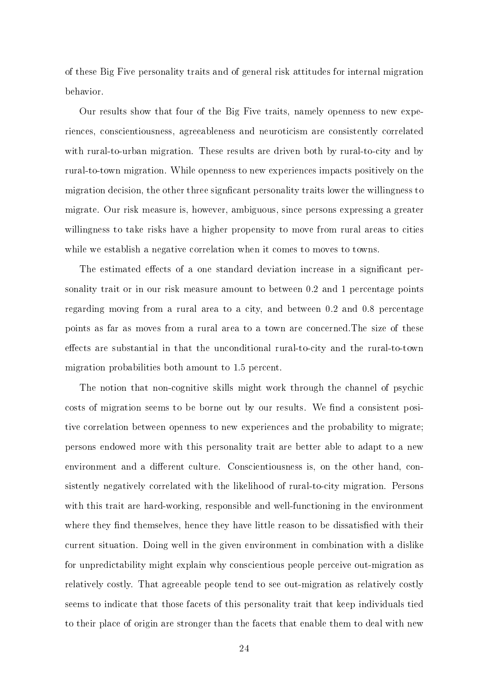of these Big Five personality traits and of general risk attitudes for internal migration behavior.

Our results show that four of the Big Five traits, namely openness to new experiences, conscientiousness, agreeableness and neuroticism are consistently correlated with rural-to-urban migration. These results are driven both by rural-to-city and by rural-to-town migration. While openness to new experiences impacts positively on the migration decision, the other three significant personality traits lower the willingness to migrate. Our risk measure is, however, ambiguous, since persons expressing a greater willingness to take risks have a higher propensity to move from rural areas to cities while we establish a negative correlation when it comes to moves to towns.

The estimated effects of a one standard deviation increase in a significant personality trait or in our risk measure amount to between 0.2 and 1 percentage points regarding moving from a rural area to a city, and between 0.2 and 0.8 percentage points as far as moves from a rural area to a town are concerned.The size of these effects are substantial in that the unconditional rural-to-city and the rural-to-town migration probabilities both amount to 1.5 percent.

The notion that non-cognitive skills might work through the channel of psychic costs of migration seems to be borne out by our results. We find a consistent positive correlation between openness to new experiences and the probability to migrate; persons endowed more with this personality trait are better able to adapt to a new environment and a different culture. Conscientiousness is, on the other hand, consistently negatively correlated with the likelihood of rural-to-city migration. Persons with this trait are hard-working, responsible and well-functioning in the environment where they find themselves, hence they have little reason to be dissatisfied with their current situation. Doing well in the given environment in combination with a dislike for unpredictability might explain why conscientious people perceive out-migration as relatively costly. That agreeable people tend to see out-migration as relatively costly seems to indicate that those facets of this personality trait that keep individuals tied to their place of origin are stronger than the facets that enable them to deal with new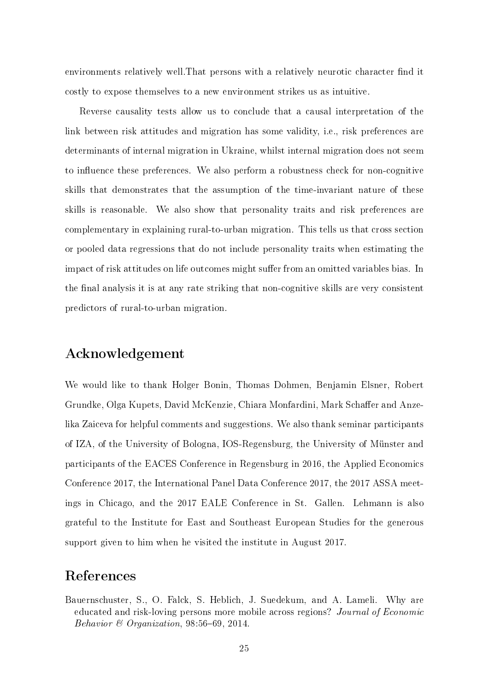environments relatively well. That persons with a relatively neurotic character find it costly to expose themselves to a new environment strikes us as intuitive.

Reverse causality tests allow us to conclude that a causal interpretation of the link between risk attitudes and migration has some validity, i.e., risk preferences are determinants of internal migration in Ukraine, whilst internal migration does not seem to influence these preferences. We also perform a robustness check for non-cognitive skills that demonstrates that the assumption of the time-invariant nature of these skills is reasonable. We also show that personality traits and risk preferences are complementary in explaining rural-to-urban migration. This tells us that cross section or pooled data regressions that do not include personality traits when estimating the impact of risk attitudes on life outcomes might suffer from an omitted variables bias. In the final analysis it is at any rate striking that non-cognitive skills are very consistent predictors of rural-to-urban migration.

### Acknowledgement

We would like to thank Holger Bonin, Thomas Dohmen, Benjamin Elsner, Robert Grundke, Olga Kupets, David McKenzie, Chiara Monfardini, Mark Schaffer and Anzelika Zaiceva for helpful comments and suggestions. We also thank seminar participants of IZA, of the University of Bologna, IOS-Regensburg, the University of Münster and participants of the EACES Conference in Regensburg in 2016, the Applied Economics Conference 2017, the International Panel Data Conference 2017, the 2017 ASSA meetings in Chicago, and the 2017 EALE Conference in St. Gallen. Lehmann is also grateful to the Institute for East and Southeast European Studies for the generous support given to him when he visited the institute in August 2017.

### References

<span id="page-24-0"></span>Bauernschuster, S., O. Falck, S. Heblich, J. Suedekum, and A. Lameli. Why are educated and risk-loving persons more mobile across regions? Journal of Economic Behavior  $\mathcal B$  Organization, 98:56-69, 2014.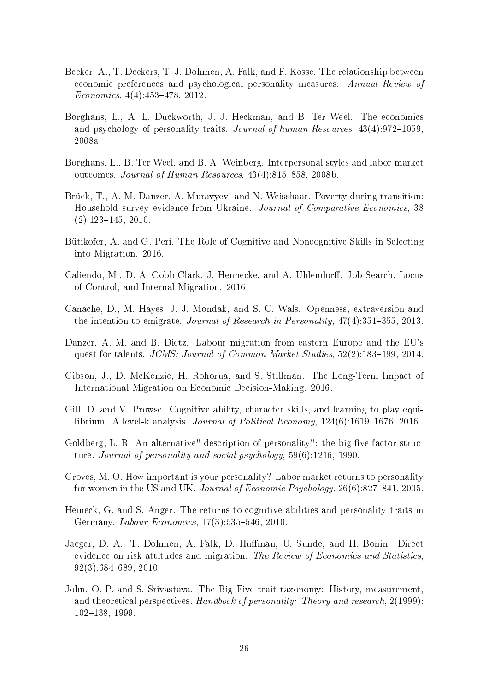- <span id="page-25-14"></span>Becker, A., T. Deckers, T. J. Dohmen, A. Falk, and F. Kosse. The relationship between economic preferences and psychological personality measures. Annual Review of  $Economics, 4(4):453-478, 2012.$
- <span id="page-25-5"></span>Borghans, L., A. L. Duckworth, J. J. Heckman, and B. Ter Weel. The economics and psychology of personality traits. Journal of human Resources,  $43(4):972-1059$ , 2008a.
- <span id="page-25-9"></span>Borghans, L., B. Ter Weel, and B. A. Weinberg. Interpersonal styles and labor market outcomes. Journal of Human Resources,  $43(4):815-858$ ,  $2008b$ .
- <span id="page-25-8"></span>Brück, T., A. M. Danzer, A. Muravyev, and N. Weisshaar. Poverty during transition: Household survey evidence from Ukraine. Journal of Comparative Economics, 38  $(2):123-145, 2010.$
- <span id="page-25-0"></span>Bütikofer, A. and G. Peri. The Role of Cognitive and Noncognitive Skills in Selecting into Migration. 2016.
- <span id="page-25-1"></span>Caliendo, M., D. A. Cobb-Clark, J. Hennecke, and A. Uhlendorff. Job Search, Locus of Control, and Internal Migration. 2016.
- <span id="page-25-10"></span>Canache, D., M. Hayes, J. J. Mondak, and S. C. Wals. Openness, extraversion and the intention to emigrate. Journal of Research in Personality,  $47(4):351-355$ , 2013.
- <span id="page-25-7"></span>Danzer, A. M. and B. Dietz. Labour migration from eastern Europe and the EU's quest for talents. JCMS: Journal of Common Market Studies, 52(2):183-199, 2014.
- <span id="page-25-13"></span>Gibson, J., D. McKenzie, H. Rohorua, and S. Stillman. The Long-Term Impact of International Migration on Economic Decision-Making. 2016.
- <span id="page-25-6"></span>Gill, D. and V. Prowse. Cognitive ability, character skills, and learning to play equilibrium: A level-k analysis. *Journal of Political Economy*,  $124(6)$ :1619–1676, 2016.
- <span id="page-25-3"></span>Goldberg, L. R. An alternative" description of personality": the big-five factor structure. Journal of personality and social psychology, 59(6):1216, 1990.
- <span id="page-25-11"></span>Groves, M. O. How important is your personality? Labor market returns to personality for women in the US and UK. Journal of Economic Psychology,  $26(6)$ :827-841, 2005.
- <span id="page-25-12"></span>Heineck, G. and S. Anger. The returns to cognitive abilities and personality traits in Germany. *Labour Economics*,  $17(3):535-546$ ,  $2010$ .
- <span id="page-25-2"></span>Jaeger, D. A., T. Dohmen, A. Falk, D. Huffman, U. Sunde, and H. Bonin. Direct evidence on risk attitudes and migration. The Review of Economics and Statistics,  $92(3):684-689, 2010.$
- <span id="page-25-4"></span>John, O. P. and S. Srivastava. The Big Five trait taxonomy: History, measurement, and theoretical perspectives. Handbook of personality: Theory and research, 2(1999): 102-138, 1999.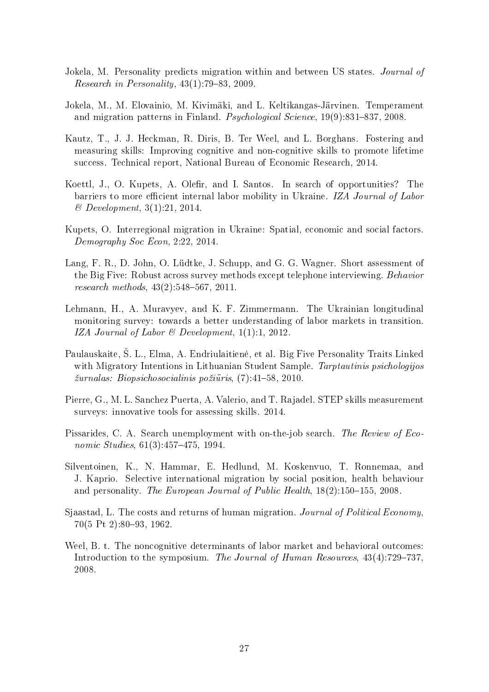- <span id="page-26-8"></span>Jokela, M. Personality predicts migration within and between US states. Journal of Research in Personality,  $43(1)$ :79-83, 2009.
- <span id="page-26-7"></span>Jokela, M., M. Elovainio, M. Kivimäki, and L. Keltikangas-Järvinen. Temperament and migration patterns in Finland. *Psychological Science*,  $19(9):831-837$ , 2008.
- <span id="page-26-0"></span>Kautz, T., J. J. Heckman, R. Diris, B. Ter Weel, and L. Borghans. Fostering and measuring skills: Improving cognitive and non-cognitive skills to promote lifetime success. Technical report, National Bureau of Economic Research, 2014.
- <span id="page-26-3"></span>Koettl, J., O. Kupets, A. Olefir, and I. Santos. In search of opportunities? The barriers to more efficient internal labor mobility in Ukraine. IZA Journal of Labor & Development, 3(1):21, 2014.
- <span id="page-26-4"></span>Kupets, O. Interregional migration in Ukraine: Spatial, economic and social factors. Demography Soc Econ, 2:22, 2014.
- <span id="page-26-2"></span>Lang, F. R., D. John, O. Lüdtke, J. Schupp, and G. G. Wagner. Short assessment of the Big Five: Robust across survey methods except telephone interviewing. Behavior research methods,  $43(2):548-567$ ,  $2011$ .
- <span id="page-26-10"></span>Lehmann, H., A. Muravyev, and K. F. Zimmermann. The Ukrainian longitudinal monitoring survey: towards a better understanding of labor markets in transition. IZA Journal of Labor  $\mathcal B$  Development, 1(1):1, 2012.
- <span id="page-26-9"></span>Paulauskaite, S. L., Elma, A. Endriulaitienė, et al. Big Five Personality Traits Linked with Migratory Intentions in Lithuanian Student Sample. Tarptautinis psichologijos  $\check{z}urnalas: Biopsichosocialinis po\check{z}uīris, (7):41–58, 2010.$
- <span id="page-26-11"></span>Pierre, G., M. L. Sanchez Puerta, A. Valerio, and T. Rajadel. STEP skills measurement surveys: innovative tools for assessing skills. 2014.
- <span id="page-26-12"></span>Pissarides, C. A. Search unemployment with on-the-job search. The Review of Economic Studies,  $61(3):457-475$ , 1994.
- <span id="page-26-6"></span>Silventoinen, K., N. Hammar, E. Hedlund, M. Koskenvuo, T. Ronnemaa, and J. Kaprio. Selective international migration by social position, health behaviour and personality. The European Journal of Public Health,  $18(2)$ :150-155, 2008.
- <span id="page-26-1"></span>Sjaastad, L. The costs and returns of human migration. Journal of Political Economy,  $70(5 \text{ Pt } 2):80-93, 1962.$
- <span id="page-26-5"></span>Weel, B. t. The noncognitive determinants of labor market and behavioral outcomes: Introduction to the symposium. The Journal of Human Resources,  $43(4)$ :729–737, 2008.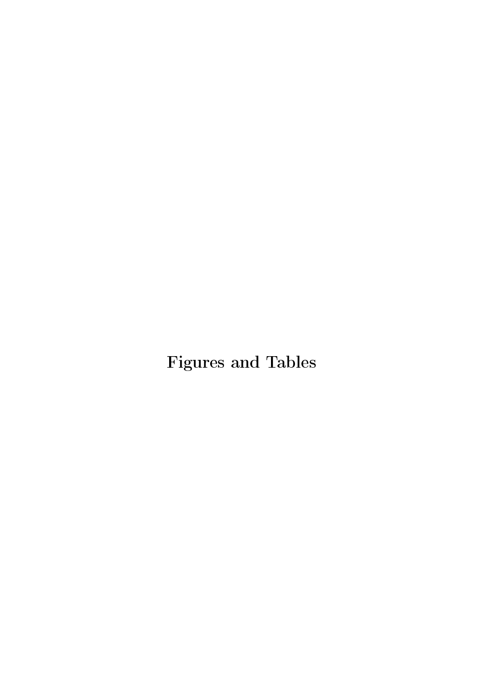Figures and Tables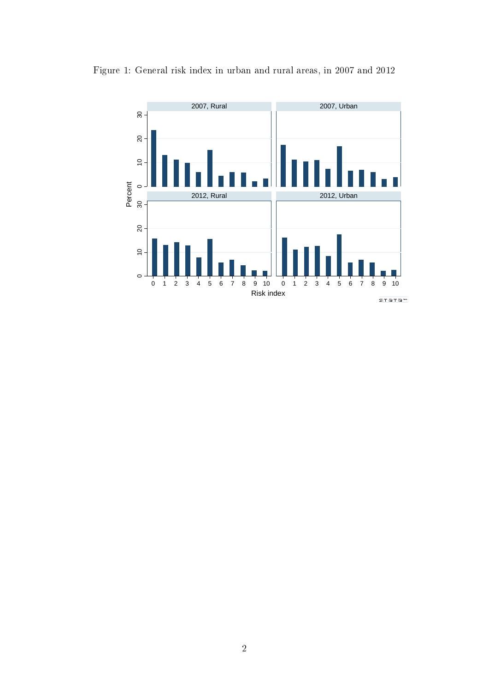

<span id="page-28-0"></span>Figure 1: General risk index in urban and rural areas, in 2007 and 2012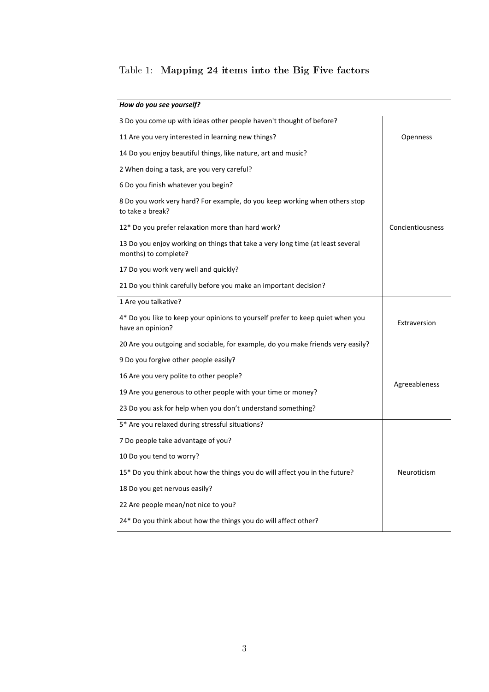## <span id="page-29-0"></span>Table 1: Mapping 24 items into the Big Five factors

| How do you see yourself?                                                                               |                  |
|--------------------------------------------------------------------------------------------------------|------------------|
| 3 Do you come up with ideas other people haven't thought of before?                                    |                  |
| 11 Are you very interested in learning new things?                                                     | Openness         |
| 14 Do you enjoy beautiful things, like nature, art and music?                                          |                  |
| 2 When doing a task, are you very careful?                                                             |                  |
| 6 Do you finish whatever you begin?                                                                    |                  |
| 8 Do you work very hard? For example, do you keep working when others stop<br>to take a break?         |                  |
| 12* Do you prefer relaxation more than hard work?                                                      | Concientiousness |
| 13 Do you enjoy working on things that take a very long time (at least several<br>months) to complete? |                  |
| 17 Do you work very well and quickly?                                                                  |                  |
| 21 Do you think carefully before you make an important decision?                                       |                  |
| 1 Are you talkative?                                                                                   |                  |
| 4* Do you like to keep your opinions to yourself prefer to keep quiet when you<br>have an opinion?     | Extraversion     |
| 20 Are you outgoing and sociable, for example, do you make friends very easily?                        |                  |
| 9 Do you forgive other people easily?                                                                  |                  |
| 16 Are you very polite to other people?                                                                |                  |
| 19 Are you generous to other people with your time or money?                                           | Agreeableness    |
| 23 Do you ask for help when you don't understand something?                                            |                  |
| 5* Are you relaxed during stressful situations?                                                        |                  |
| 7 Do people take advantage of you?                                                                     |                  |
| 10 Do you tend to worry?                                                                               |                  |
| 15* Do you think about how the things you do will affect you in the future?                            | Neuroticism      |
| 18 Do you get nervous easily?                                                                          |                  |
| 22 Are people mean/not nice to you?                                                                    |                  |
| 24* Do you think about how the things you do will affect other?                                        |                  |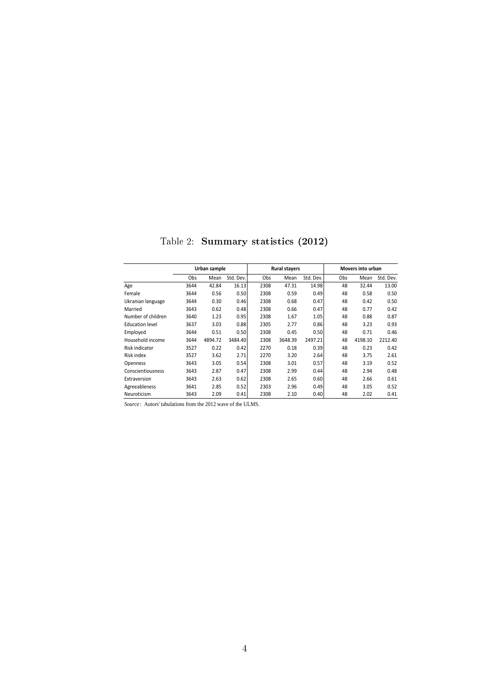<span id="page-30-0"></span>

|                        |            | Urban sample |           |                 | <b>Rural stayers</b> |           |     | Movers into urban |           |
|------------------------|------------|--------------|-----------|-----------------|----------------------|-----------|-----|-------------------|-----------|
|                        | <b>Obs</b> | Mean         | Std. Dev. | O <sub>bs</sub> | Mean                 | Std. Dev. | Obs | Mean              | Std. Dev. |
| Age                    | 3644       | 42.84        | 16.13     | 2308            | 47.31                | 14.98     | 48  | 32.44             | 13.00     |
| Female                 | 3644       | 0.56         | 0.50      | 2308            | 0.59                 | 0.49      | 48  | 0.58              | 0.50      |
| Ukranian language      | 3644       | 0.30         | 0.46      | 2308            | 0.68                 | 0.47      | 48  | 0.42              | 0.50      |
| Married                | 3643       | 0.62         | 0.48      | 2308            | 0.66                 | 0.47      | 48  | 0.77              | 0.42      |
| Number of children     | 3640       | 1.23         | 0.95      | 2308            | 1.67                 | 1.05      | 48  | 0.88              | 0.87      |
| <b>Education level</b> | 3637       | 3.03         | 0.88      | 2305            | 2.77                 | 0.86      | 48  | 3.23              | 0.93      |
| Employed               | 3644       | 0.51         | 0.50      | 2308            | 0.45                 | 0.50      | 48  | 0.71              | 0.46      |
| Household income       | 3644       | 4894.72      | 3484.40   | 2308            | 3648.39              | 2497.21   | 48  | 4198.10           | 2212.40   |
| Risk indicator         | 3527       | 0.22         | 0.42      | 2270            | 0.18                 | 0.39      | 48  | 0.23              | 0.42      |
| Risk index             | 3527       | 3.62         | 2.71      | 2270            | 3.20                 | 2.64      | 48  | 3.75              | 2.61      |
| Openness               | 3643       | 3.05         | 0.54      | 2308            | 3.01                 | 0.57      | 48  | 3.19              | 0.52      |
| Conscientiousness      | 3643       | 2.87         | 0.47      | 2308            | 2.99                 | 0.44      | 48  | 2.94              | 0.48      |
| Extraversion           | 3643       | 2.63         | 0.62      | 2308            | 2.65                 | 0.60      | 48  | 2.66              | 0.61      |
| Agreeableness          | 3641       | 2.85         | 0.52      | 2303            | 2.96                 | 0.49      | 48  | 3.05              | 0.52      |
| Neuroticism            | 3643       | 2.09         | 0.41      | 2308            | 2.10                 | 0.40      | 48  | 2.02              | 0.41      |

Table 2: Summary statistics (2012)

*Source* : Autors' tabulations from the 2012 wave of the ULMS.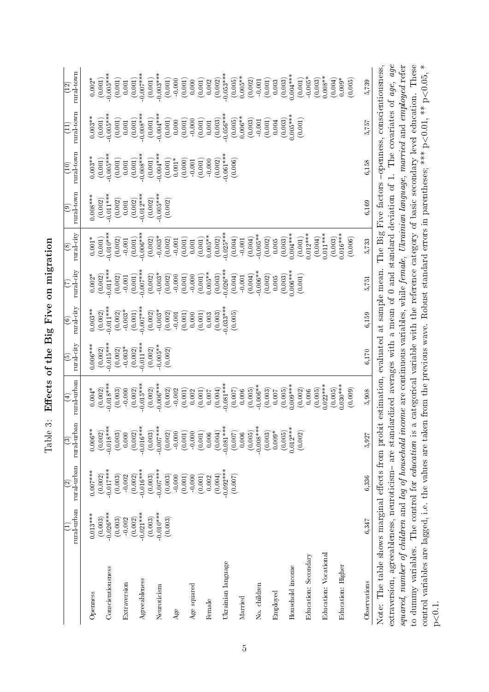<span id="page-31-0"></span>

|                                                                                                                                                                                                                                                                                                                                                                 | rural urban                       | rural urban<br>$\widehat{\in}$    | rural-urban<br>$\widehat{\mathbf{c}}$ | rural-urban<br>$\widehat{\mathbf{d}}$ | rural city<br>ම        | rural city<br>$\circledcirc$    | rural-city                        | rural-city<br>$\circledast$       | rural town<br>ම                   | rural town<br>$\widetilde{\Xi}$ | rural town<br>$\Xi$                                | rural town<br>$\widetilde{\Xi}$  |
|-----------------------------------------------------------------------------------------------------------------------------------------------------------------------------------------------------------------------------------------------------------------------------------------------------------------------------------------------------------------|-----------------------------------|-----------------------------------|---------------------------------------|---------------------------------------|------------------------|---------------------------------|-----------------------------------|-----------------------------------|-----------------------------------|---------------------------------|----------------------------------------------------|----------------------------------|
| Openness                                                                                                                                                                                                                                                                                                                                                        | $0.013***$                        | $0.007***$                        | $0.006**$                             | $0.004*$                              | $0.006***$             | $0.003**$                       | $0.002*$                          | $0.001*$                          | $0.008***$                        | $0.003***$                      | $0.003***$                                         | $0.002*$                         |
| Conscientiousness                                                                                                                                                                                                                                                                                                                                               | $-0.026***$<br>(0.003)<br>(0.003) | $-0.017***$<br>(0.002)<br>(0.003) | $-0.018***$<br>(0.003)<br>(0.002)     | $0.018***$<br>(0.002)<br>(0.003)      | $-0.015***$<br>(0.002) | $-0.011***$<br>(0.002)          | $-0.011***$<br>(0.002)<br>(0.002) | $0.010***$<br>(0.001)<br>(0.002)  | $-0.011***$<br>(0.002)<br>(0.002) | $-0.005***$<br>(0.001)          | $0.005***$<br>(0.001)<br>(0.001)                   | $0.005***$<br>(0.001)<br>(0.001) |
| Extraversion                                                                                                                                                                                                                                                                                                                                                    | $-0.002$                          | $-0.002$                          | $0.000$                               | 0.000                                 | $(0.002)$<br>-0.003*   | $(0.002)$<br>-0.003*            | $-0.001$                          | $\,0.001$                         | $\,0.001$                         | $\left( 0.001\right)$ $0.001$   | $0.001\,$                                          | $\,0.001$                        |
| Agreeableness                                                                                                                                                                                                                                                                                                                                                   | $-0.021***$<br>(0.002)<br>(0.003) | $-0.016***$<br>(0.002)<br>(0.003) | $-0.016***$<br>(0.002)                | $0.015***$<br>(0.002)                 | $0.011***$<br>(0.002)  | $0.007***$<br>(0.001)           | $0.007***$<br>(0.001)             | $0.006***$<br>(0.001)             | $0.012***$<br>(0.002)             | $0.008***$<br>(0.001)           | $0.008***$<br>(0.001)                              | $-0.007***$<br>(0.001)           |
| Neuroticism                                                                                                                                                                                                                                                                                                                                                     | $0.010***$                        | $-0.007***$<br>(0.003)            | $-0.007***$<br>(0.003)<br>(0.002)     | $-0.006***$<br>(0.002)<br>(0.002)     | $0.005**$<br>(0.002)   | $(0.002)$<br>-0.003*<br>(0.002) | $(0.002)$<br>$-0.003*$<br>(0.002) | $(0.002)$<br>$-0.003*$<br>(0.002) | $0.005***$<br>(0.002)             | $0.004***$<br>$(0.001)$         | $(0.001)$<br>$-0.004***$                           | $(0.001)$<br>$-0.003***$         |
| Age                                                                                                                                                                                                                                                                                                                                                             | (0.003)                           | $-0.000$                          | $-0.000$                              | $-0.002$                              | (0.002)                | $-0.001$                        | $-0.000$                          | $-0.001$                          | (0.002)                           | (0.001)<br>$0.001*$             | $(0.001)$<br>0.000                                 | (0.001)<br>$-0.000$              |
| Age squared                                                                                                                                                                                                                                                                                                                                                     |                                   | (0.001)<br>$-0.000$               | (0.001)<br>$-0.000$                   | (0.001)<br>0.002                      |                        | (0.001)<br>0.000                | $(0.001)$<br>$-0.000$             | (0.001)<br>(0.001)                |                                   | (0.000)<br>$\,$ 0.001           | $\left( 0.001\right)$ -0.000                       | (0.001)<br>0.000                 |
| Female                                                                                                                                                                                                                                                                                                                                                          |                                   | (0.001)<br>0.002                  | (0.001)<br>0.006                      | (0.001)<br>0.007                      |                        | (0.001)<br>0.003                | $0.005**$<br>(0.001)              | $0.005***$                        |                                   | (0.001)<br>$-0.000$             | (0.001)<br>$0.001\,$                               | (0.001)<br>0.002                 |
| Ukrainian language                                                                                                                                                                                                                                                                                                                                              |                                   | $0.092***$<br>(0.004)             | $-0.081***$<br>(0.004)                | $0.081***$<br>(0.004)                 |                        | $0.033***$<br>(0.003)           | $0.026***$<br>(0.003)             | $0.025***$<br>(0.002)             |                                   | $0.061***$<br>(0.002)           | $0.056***$<br>(0.003)                              | $0.053***$<br>(0.002)            |
| Married                                                                                                                                                                                                                                                                                                                                                         |                                   | (0.007)                           | (0.007)<br>0.006                      | (0.007)<br>0.006                      |                        | (0.005)                         | (0.004)<br>$-0.001\,$             | (0.004)<br>$-0.001$               |                                   | (0.006)                         | $0.006**$<br>(0.005)                               | $0.005***$<br>(0.005)            |
| No. children                                                                                                                                                                                                                                                                                                                                                    |                                   |                                   | $-0.008***$<br>(0.005)                | $0.006***$<br>(0.005)                 |                        |                                 | $0.006**$<br>(0.004)              | $0.005**$<br>(0.004)              |                                   |                                 | (0.003)<br>$-0.001$                                | (0.002)<br>$-0.001$              |
| Employed                                                                                                                                                                                                                                                                                                                                                        |                                   |                                   | $(0.003)$<br>$0.009*$                 | (0.003)<br>0.007                      |                        |                                 | (0.002)<br>0.005                  | (0.002)<br>0.005                  |                                   |                                 | (0.001)<br>0.004                                   | (0.001)<br>0.003                 |
| Household income                                                                                                                                                                                                                                                                                                                                                |                                   |                                   | $0.012***$<br>(0.005)                 | $0.009***$<br>(0.005)                 |                        |                                 | $0.006***$<br>(0.003)             | $0.004***$<br>(0.003)             |                                   |                                 | $0.005***$<br>(0.003)                              | $0.004***$<br>(0.003)            |
| Education: Secondary                                                                                                                                                                                                                                                                                                                                            |                                   |                                   | (0.002)                               | (0.005)<br>(0.002)<br>0.006           |                        |                                 | (0.001)                           | $(0.001)$<br>$0.012***$           |                                   |                                 | (0.001)                                            | $-0.005*$<br>(0.001)             |
| Education: Vocational                                                                                                                                                                                                                                                                                                                                           |                                   |                                   |                                       | $0.022***$                            |                        |                                 |                                   | $0.011***$<br>(0.004)             |                                   |                                 |                                                    | $0.008**$<br>(0.003)<br>(0.004)  |
| Education: Higher                                                                                                                                                                                                                                                                                                                                               |                                   |                                   |                                       | $0.030***$<br>(0.005)<br>(0.009)      |                        |                                 |                                   | $0.016***$<br>(0.003)<br>(0.006)  |                                   |                                 |                                                    | $0.009*$<br>(0.005)              |
| Observations                                                                                                                                                                                                                                                                                                                                                    | 6,347                             | 6,336                             | 5,927                                 | 5,908                                 | 6,170                  | 6,159                           | 5,751                             | 5,733                             | 6,169                             | 6,158                           | 5,757                                              | 5,739                            |
| squared, number of children and log of household income are continuous variables, while female, Ukrainian language, married and employed refer<br>extraversion, agreeableness, neuroticism- are standardized averages with a mean of 0 and standard deviation of 1.<br>Note: The table shows marginal effects from probit estimation, evaluated at sample mean. |                                   |                                   |                                       |                                       |                        |                                 |                                   |                                   |                                   |                                 | The Big Five factors -openness, conscientiousness, | The covariates of age, age       |
|                                                                                                                                                                                                                                                                                                                                                                 |                                   |                                   |                                       |                                       |                        |                                 |                                   |                                   |                                   |                                 |                                                    |                                  |

to dummy variables. The control for education is a categorical variable with the reference category of basic secondary level education. These control variables are lagged, i.e. the values are taken from the previous wave. Robust standard errors in parentheses; \*\*\* p<0.01, \*\* p<0.05, \*

to dummy variables. The control for *education* is a categorical variable with the reference category of basic secondary level education. These control variables are lagged, i.e. the values are taken from the previous wave. Robust standard errors in parentheses; \*\*\*  $p<0.01$ , \*\*  $p<0.05$ , \*

p<0.1.

Table 3: Effects of the Big Five on migration Table 3: Effects of the Big Five on migration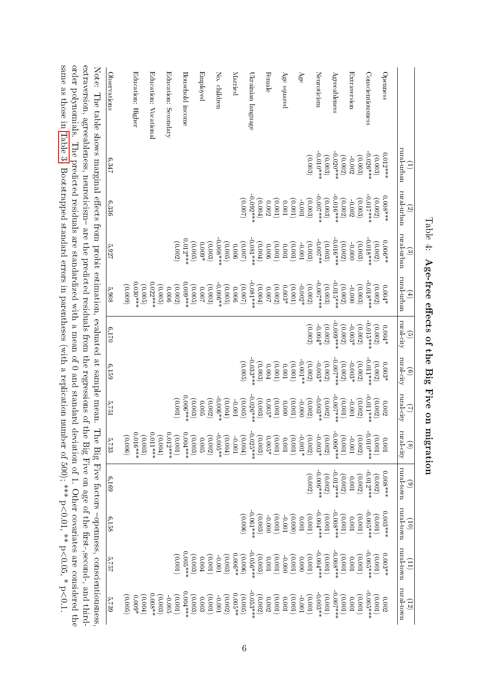<span id="page-32-0"></span>

same as those in [Table](#page-31-0) 3. Bootstrapped standard errors in parentheses (with a replication number of 500);  $^{***}$  p

Λ

 $0.01$ ,  $*$   $p < 0$ 

 $0.05$ , \* p<

0.1.

Table 4: Age-free effects of the Big Five on migration Age-free effects of the Big Five on migration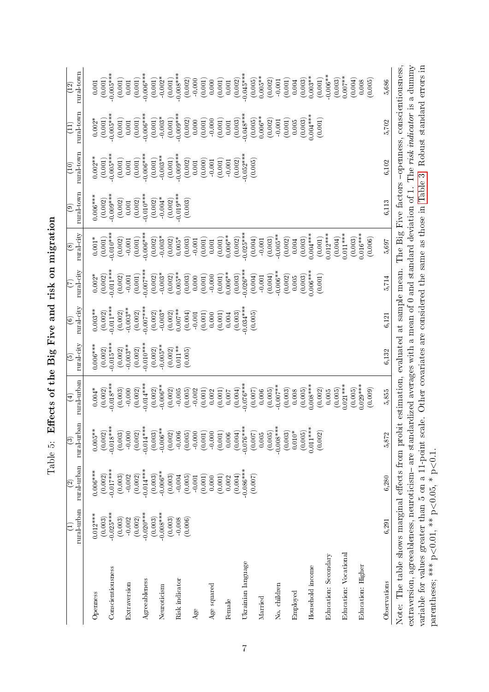<span id="page-33-0"></span>

|                                                                                                                                                                                                                                                                                                                             | rural urban<br>Ξ               | rural urban<br>$\widehat{\mathbb{C}}$ | rural-urban<br>$\widehat{c}$   | rural urban<br>$\widehat{\mathbb{F}}$                                                        | rural city<br>$\widehat{e}$      | rural-city<br>$\circledcirc$     | rural city<br>E                 | rural-city<br>$\circledast$      | rural town<br>$\odot$            | rural town<br>$\widehat{\Xi}$    | rural town<br>$\Xi$                                                | rural town<br>$\left(12\right)$  |
|-----------------------------------------------------------------------------------------------------------------------------------------------------------------------------------------------------------------------------------------------------------------------------------------------------------------------------|--------------------------------|---------------------------------------|--------------------------------|----------------------------------------------------------------------------------------------|----------------------------------|----------------------------------|---------------------------------|----------------------------------|----------------------------------|----------------------------------|--------------------------------------------------------------------|----------------------------------|
| Openness                                                                                                                                                                                                                                                                                                                    | $0.012***$<br>(0.003)          | $0.006***$<br>(0.002)                 | $0.005***$<br>(0.002)          | (0.002)<br>$0.004*$                                                                          | $0.006***$<br>(0.002)            | $0.003**$<br>(0.002)             | $0.002*$<br>(0.002)             | $0.001*$<br>(0.001)              | $0.006***$<br>(0.002)            | $0.002***$<br>$(0.001)$          | $0.002*$<br>(0.001)                                                | (0.001)<br>$0.001\,$             |
| Conscientiousness                                                                                                                                                                                                                                                                                                           | $-0.025***$<br>(0.003)         | $-0.017***$<br>(0.003)                | $-0.018***$<br>(0.003)         | $0.018***$<br>(0.003)                                                                        | $-0.015***$<br>(0.002)           | $0.011***$<br>(0.002)            | $-0.011***$<br>(0.002)          | $-0.010***$<br>(0.002)           | $-0.009***$<br>(0.002)           | $-0.005***$<br>(0.001)           | $0.005***$<br>(0.001)                                              | $0.005***$<br>(0.001)            |
| Extraversion                                                                                                                                                                                                                                                                                                                | $-0.002$                       | $-0.002$                              | $-0.000$                       | $-0.000$                                                                                     | $-0.003***$                      | $-0.003**$                       | $-0.001$                        | $-0.001$                         | $0.001\,$                        | $0.001\,$                        | $0.001\,$                                                          | $0.001\,$                        |
| Agreeableness                                                                                                                                                                                                                                                                                                               | $-0.020$ **<br>(0.002)         | $0.014***$<br>(0.002)                 | $-0.014***$<br>(0.002)         | $0.014***$<br>(0.002)                                                                        | $0.010***$<br>(0.002)            | $-0.007***$<br>(0.002)           | $0.007***$<br>(0.001)           | $0.006***$<br>(0.001)            | $-0.010***$<br>(0.002)           | $0.006***$<br>(0.001)            | $0.006***$<br>$(0.001)$                                            | $0.006***$<br>(0.001)            |
| Neuroticism                                                                                                                                                                                                                                                                                                                 | $-0.008***$<br>(0.003)         | $-0.006**$<br>(0.003)                 | $-0.006**$<br>(0.003)          | $-0.006***$<br>(0.002)                                                                       | $-0.005**$<br>(0.002)            | $-0.003*$<br>(0.002)             | $-0.003*$<br>(0.002)            | $-0.003*$<br>(0.002)             | $-0.004*$<br>(0.002)             | $-0.003**$<br>(0.001)            | $-0.003*$<br>(0.001)                                               | $-0.002*$<br>(0.001)             |
| Risk indicator                                                                                                                                                                                                                                                                                                              | (0.003)<br>(0.006)<br>$-0.008$ | (0.003)<br>(0.005)<br>$-0.004$        | (0.002)<br>$-0.006$<br>(0.005) | (0.002)<br>(0.005)<br>$0.005$                                                                | $0.011***$<br>(0.002)<br>(0.005) | $0.007***$<br>(0.002)<br>(0.004) | $0.005**$<br>(0.002)<br>(0.003) | (0.003)<br>(0.002)<br>$0.005*$   | $0.019***$<br>(0.002)<br>(0.003) | $0.009***$<br>(0.001)<br>(0.002) | $0.009***$<br>(0.001)                                              | $0.008***$<br>(0.001)<br>(0.002) |
| Age                                                                                                                                                                                                                                                                                                                         |                                | (0.001)<br>$-0.001\,$                 | $-0.000$<br>(0.001)            | (0.001)<br>0.002                                                                             |                                  | (0.001)<br>$\,0.001$             | (0.001)<br>0.000                | (0.001)<br>$-0.001$              |                                  | (0.000)<br>0.001                 | (0.002)<br>(0.001)<br>$\begin{matrix} 0.000 \\ 0.000 \end{matrix}$ | (0.001)<br>$-0.000$              |
| Age squared                                                                                                                                                                                                                                                                                                                 |                                | 0.000                                 | $-0.000$                       | 0.002                                                                                        |                                  | 0.000                            | $-0.000$                        | $\,0.001$                        |                                  | $-0.001$                         | 0.000                                                              | 0.000                            |
| Female                                                                                                                                                                                                                                                                                                                      |                                | (0.001)<br>0.002                      | (0.001)<br>0.006               | (0.001)<br>$0.007$                                                                           |                                  | (0.001)<br>0.004                 | $0.006**$<br>(0.001)            | $0.006***$<br>(0.001)            |                                  | (0.001)<br>$\,0.001$             | (0.001)<br>$0.001\,$                                               | (0.001)<br>$0.001\,$             |
| Ukrainian language                                                                                                                                                                                                                                                                                                          |                                | $-0.086***$<br>(0.004)                | $-0.076***$<br>(0.004)         | $-0.076***$<br>(0.004)                                                                       |                                  | $0.034***$<br>(0.003)            | $-0.026***$<br>(0.003)          | $-0.025***$<br>(0.002)           |                                  | $-0.052***$<br>(0.002)           | $0.048***$<br>(0.003)                                              | $0.045***$<br>(0.002)            |
| Married                                                                                                                                                                                                                                                                                                                     |                                | (0.007)                               | (0.007)<br>0.005               | (0.007)<br>0.006                                                                             |                                  | (0.005)                          | (0.004)<br>$-0.001$             | (0.004)<br>$-0.001$              |                                  | (0.005)                          | $0.006**$<br>(0.005)                                               | $0.005**$<br>(0.005)             |
| No. children                                                                                                                                                                                                                                                                                                                |                                |                                       | $-0.008***$<br>(0.005)         | $0.007**$<br>(0.005)                                                                         |                                  |                                  | $0.006***$<br>(0.004)           | $-0.005***$<br>(0.003)           |                                  |                                  | (0.002)<br>$-0.001$                                                | (0.002)<br>$\,0.001$             |
| Employed                                                                                                                                                                                                                                                                                                                    |                                |                                       | (0.003)<br>$0.010*$<br>(0.005) | (0.003)<br>(0.005)<br>0.008                                                                  |                                  |                                  | (0.002)<br>(0.003)<br>0.005     | (0.002)<br>(0.003)<br>0.004      |                                  |                                  | (0.001)<br>(0.003)<br>$0.005\,$                                    | (0.001)<br>0.004                 |
| Household income                                                                                                                                                                                                                                                                                                            |                                |                                       | $0.011***$                     | $0.008***$                                                                                   |                                  |                                  | $0.006***$                      | $0.004***$                       |                                  |                                  | $0.004***$                                                         | $0.003**$<br>(0.003)             |
| Education: Secondary                                                                                                                                                                                                                                                                                                        |                                |                                       | (0.002)                        | (0.002)<br>0.005                                                                             |                                  |                                  | (0.001)                         | $0.012***$<br>(0.001)            |                                  |                                  | (0.001)                                                            | $-0.006***$<br>(0.001)           |
| Education: Vocational                                                                                                                                                                                                                                                                                                       |                                |                                       |                                | $0.021***$<br>(0.005)                                                                        |                                  |                                  |                                 | $0.011***$<br>(0.004)            |                                  |                                  |                                                                    | $0.007**$<br>(0.003)             |
| Education: Higher                                                                                                                                                                                                                                                                                                           |                                |                                       |                                | $0.029***$<br>(0.009)<br>(0.005)                                                             |                                  |                                  |                                 | $0.016***$<br>(0.003)<br>(0.006) |                                  |                                  |                                                                    | (0.004)<br>(0.005)<br>0.008      |
| Observations                                                                                                                                                                                                                                                                                                                | 6,291                          | 6.280                                 | 5,872                          | 5,855                                                                                        | 6,132                            | 6,121                            | 5,714                           | 5,697                            | 6,113                            | 6,102                            | 5,702                                                              | 5,686                            |
| Note: The table shows marginal effects from probit estimation, evaluated at sample mean. The Big Five factors -openness, conscientiousness,<br>extraversion, agreeableness, neuroticism-are standardized averages with a mean of $0$ and standard deviation of $1$ .<br>variable for values greater than 5 on a 11-point sc |                                |                                       |                                | ale. Other covariates are considered the same as those in Table 3. Robust standard errors in |                                  |                                  |                                 |                                  |                                  |                                  |                                                                    | The risk indicator is a dummy    |
| parentheses; *** $p < 0.01$ , ** $p < 0.05$ , * $p < 0.1$ .                                                                                                                                                                                                                                                                 |                                |                                       |                                |                                                                                              |                                  |                                  |                                 |                                  |                                  |                                  |                                                                    |                                  |

Table 5: Effects of the Big Five and risk on migration Table 5: Effects of the Big Five and risk on migration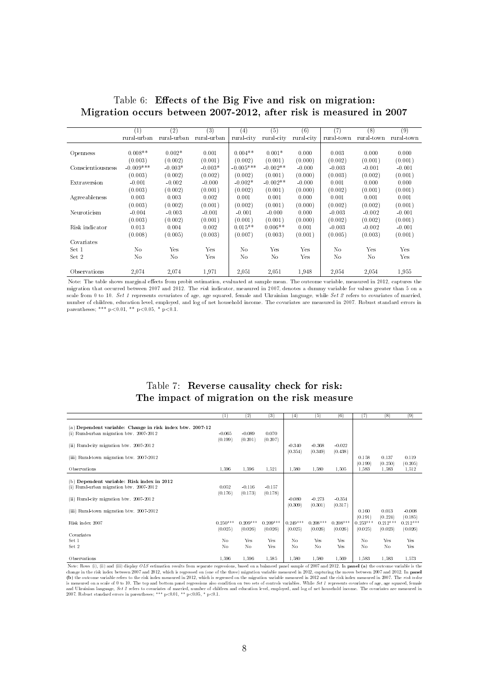|                   | $\mathbf{1}$ | (2)         | $^{(3)}$    | $^{(4)}$    | (5)        | $^{\rm (6)}$ | 7)         | $^{(8)}$   | $^{(9)}$   |
|-------------------|--------------|-------------|-------------|-------------|------------|--------------|------------|------------|------------|
|                   | rural-urban  | rural-urban | rural-urban | rural-city  | rural city | rural-city   | rural-town | rural-town | rural-town |
|                   |              |             |             |             |            |              |            |            |            |
| Openness          | $0.008**$    | $0.002*$    | 0.001       | $0.004**$   | $0.001*$   | 0.000        | 0.003      | 0.000      | 0.000      |
|                   | (0.003)      | (0.002)     | (0.001)     | (0.002)     | (0.001)    | (0.000)      | (0.002)    | (0.001)    | (0.001)    |
| Conscientiousness | $-0.009***$  | $-0.003*$   | $-0.003*$   | $-0.005***$ | $-0.002**$ | $-0.000$     | $-0.003$   | $-0.001$   | $-0.001$   |
|                   | (0.003)      | (0.002)     | (0.002)     | (0.002)     | (0.001)    | (0.000)      | (0.003)    | (0.002)    | (0.001)    |
| Extraversion      | $-0.001$     | $-0.002$    | $-0.000$    | $-0.002*$   | $-0.002**$ | $-0.000$     | 0.001      | 0.000      | 0.000      |
|                   | (0.003)      | (0.002)     | (0.001)     | (0.002)     | (0.001)    | (0.000)      | (0.002)    | (0.001)    | (0.001)    |
| Agreeableness     | 0.003        | 0.003       | 0.002       | 0.001       | 0.001      | 0.000        | 0.001      | 0.001      | 0.001      |
|                   | (0.003)      | (0.002)     | (0.001)     | (0.002)     | (0.001)    | (0.000)      | (0.002)    | (0.002)    | (0.001)    |
| Neuroticism       | $-0.004$     | $-0.003$    | $-0.001$    | $-0.001$    | $-0.000$   | 0.000        | $-0.003$   | $-0.002$   | $-0.001$   |
|                   | (0.003)      | (0.002)     | (0.001)     | (0.001)     | (0.001)    | (0.000)      | (0.002)    | (0.002)    | (0.001)    |
| Risk indicator    | 0.013        | 0.004       | 0.002       | $0.015**$   | $0.006**$  | 0.001        | $-0.003$   | $-0.002$   | $-0.001$   |
|                   | (0.008)      | (0.005)     | (0.003)     | (0.007)     | (0.003)    | (0.001)      | (0.005)    | (0.003)    | (0.001)    |
| Covariates        |              |             |             |             |            |              |            |            |            |
| Set 1             | No           | Yes         | Yes         | No          | Yes        | Yes          | No         | Yes        | Yes        |
| Set 2             | No           | No          | Yes         | No          | No         | Yes          | No         | No         | Yes        |
|                   |              |             |             |             |            |              |            |            |            |
| Observations      | 2,074        | 2,074       | 1,971       | 2,051       | 2,051      | 1,948        | 2,054      | 2,054      | 1.955      |

<span id="page-34-0"></span>Table 6: Effects of the Big Five and risk on migration: Migration occurs between 2007-2012, after risk is measured in 2007

Note: The table shows marginal effects from probit estimation, evaluated at sample mean. The outcome variable, measured in 2012, captures the migration that occurred between 2007 and 2012. The risk indicator, measured in 2007, denotes a dummy variable for values greater than 5 on a scale from 0 to 10. Set 1 represents covariates of age, age squared, female and Ukrainian language, while Set 2 refers to covariates of married, number of children, education level, employed, and log of net household income. The covariates are measured in 2007. Robust standard errors in parentheses; \*\*\*  $p < 0.01$ , \*\*  $p < 0.05$ , \*  $p < 0.1$ .

#### Table 7: Reverse causality check for risk: The impact of migration on the risk measure

<span id="page-34-1"></span>

|                                                           | (1)            | (2)        | (3)        | (4)            | (5)        | (6)        | (7)        | (8)            | (9)        |
|-----------------------------------------------------------|----------------|------------|------------|----------------|------------|------------|------------|----------------|------------|
|                                                           |                |            |            |                |            |            |            |                |            |
| (a) Dependent variable: Change in risk index btw. 2007-12 |                |            |            |                |            |            |            |                |            |
| (i) Rural-urban migration btw. 2007-2012                  | $-0.065$       | $-0.089$   | 0.070      |                |            |            |            |                |            |
|                                                           | (0.199)        | (0.201)    | (0.207)    |                |            |            |            |                |            |
| (ii) Rural-city migration btw. 2007-2012                  |                |            |            | $-0.340$       | $-0.368$   | $-0.022$   |            |                |            |
|                                                           |                |            |            | (0.354)        | (0.349)    | (0.438)    |            |                |            |
| (iii) Rural-town migration btw. 2007-2012                 |                |            |            |                |            |            | 0.158      | 0.137          | 0.119      |
|                                                           |                |            |            |                |            |            | (0.199)    | (0.250)        | (0.205)    |
| Observations                                              | 1,596          | 1.596      | 1.521      | 1.580          | 1.580      | 1.505      | 1.583      | 1.583          | 1.512      |
|                                                           |                |            |            |                |            |            |            |                |            |
| (b) Dependent variable: Risk index in 2012                |                |            |            |                |            |            |            |                |            |
|                                                           |                |            |            |                |            |            |            |                |            |
| (i) Rural-urban migration btw. 2007-2012                  | 0.052          | $-0.116$   | $-0.157$   |                |            |            |            |                |            |
|                                                           | (0.176)        | (0.173)    | (0.178)    |                |            |            |            |                |            |
| (ii) Rural-city migration btw. 2007-2012                  |                |            |            | $-0.080$       | $-0.273$   | $-0.354$   |            |                |            |
|                                                           |                |            |            | (0.309)        | (0.301)    | (0.317)    |            |                |            |
| (iii) Rural-town migration btw. 2007-2012                 |                |            |            |                |            |            | 0.160      | 0.013          | $-0.008$   |
|                                                           |                |            |            |                |            |            | (0.191)    | (0.224)        | (0.185)    |
| Risk index 2007                                           | $0.250***$     | $0.209***$ | $0.209***$ | $0.249***$     | $0.208***$ | $0.208***$ | $0.253***$ | $0.212***$     | $0.212***$ |
|                                                           | (0.025)        | (0.026)    | (0.026)    | (0.025)        | (0.026)    | (0.026)    | (0.025)    | (0.023)        | (0.026)    |
| Covariates                                                |                |            |            |                |            |            |            |                |            |
| Set 1                                                     | N <sub>0</sub> | Yes        | Yes        | No             | <b>Yes</b> | Yes        | No         | Yes            | Yes        |
| Set 2                                                     | N <sub>0</sub> | No         | Yes        | N <sub>o</sub> | No         | Yes        | No         | N <sub>o</sub> | Yes        |
|                                                           |                |            |            |                |            |            |            |                |            |
|                                                           |                |            |            |                |            |            |            |                |            |
| Observations                                              | 1,596          | 1,596      | 1.585      | 1.580          | 1.580      | 1.569      | 1.583      | 1.583          | 1,573      |

Note: Rows (i), (ii) and (iii) display *OLS* estimation results from separate regressions, based on a balanced panel sample of 2007 and 2012. In **panel (a)** the outcome variable is the change in the risk index between 200 2007. Robust standard errors in parentheses; \*\*\* p<0.01, \*\* p<0.05, \* p<0.1.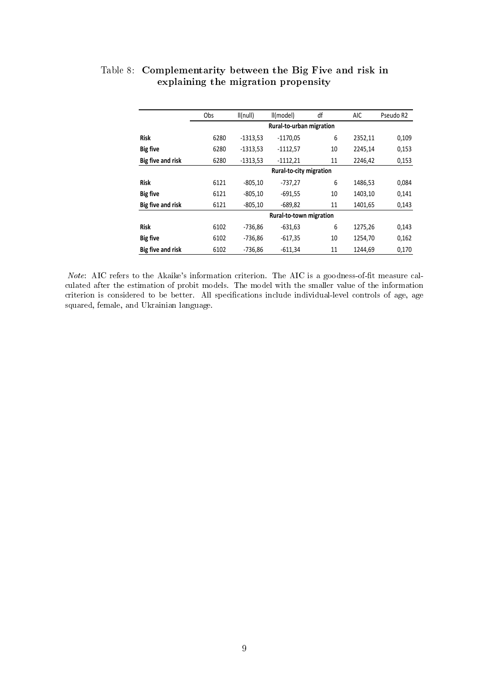|                   | Obs  | I(Inull)   | II(model)                | df | <b>AIC</b> | Pseudo R2 |
|-------------------|------|------------|--------------------------|----|------------|-----------|
|                   |      |            | Rural-to-urban migration |    |            |           |
| <b>Risk</b>       | 6280 | $-1313,53$ | $-1170,05$               | 6  | 2352,11    | 0,109     |
| <b>Big five</b>   | 6280 | $-1313,53$ | $-1112,57$               | 10 | 2245,14    | 0,153     |
| Big five and risk | 6280 | $-1313,53$ | $-1112,21$               | 11 | 2246,42    | 0,153     |
|                   |      |            | Rural-to-city migration  |    |            |           |
| <b>Risk</b>       | 6121 | $-805,10$  | -737,27                  | 6  | 1486,53    | 0,084     |
| <b>Big five</b>   | 6121 | $-805,10$  | $-691,55$                | 10 | 1403,10    | 0,141     |
| Big five and risk | 6121 | $-805,10$  | $-689,82$                | 11 | 1401,65    | 0,143     |
|                   |      |            | Rural-to-town migration  |    |            |           |
| <b>Risk</b>       | 6102 | $-736,86$  | $-631,63$                | 6  | 1275,26    | 0,143     |
| <b>Big five</b>   | 6102 | $-736.86$  | $-617.35$                | 10 | 1254.70    | 0,162     |
| Big five and risk | 6102 | $-736,86$  | $-611,34$                | 11 | 1244,69    | 0,170     |

#### <span id="page-35-0"></span>Table 8: Complementarity between the Big Five and risk in explaining the migration propensity

*Note*: AIC refers to the Akaike's information criterion. The AIC is a goodness-of-fit measure calculated after the estimation of probit models. The model with the smaller value of the information criterion is considered to be better. All specifications include individual-level controls of age, age squared, female, and Ukrainian language.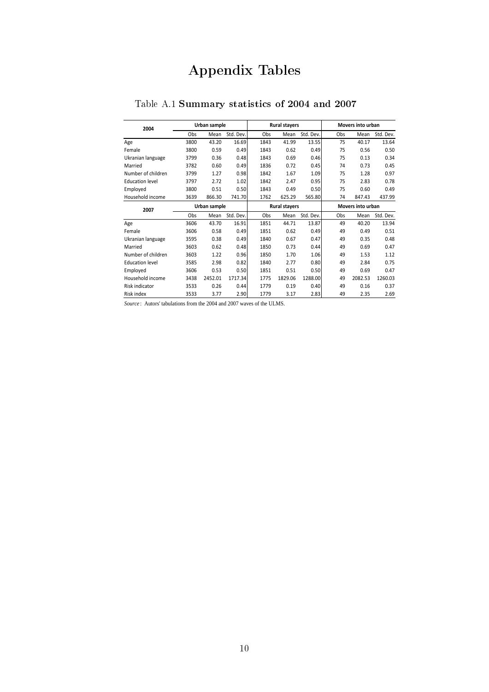## Appendix Tables

| Table A.1 Summary statistics of 2004 and 2007 |  |  |  |  |
|-----------------------------------------------|--|--|--|--|
|-----------------------------------------------|--|--|--|--|

| 2004                   |      | Urban sample |           |      | <b>Rural stayers</b> |           |     | Movers into urban |           |
|------------------------|------|--------------|-----------|------|----------------------|-----------|-----|-------------------|-----------|
|                        | Obs  | Mean         | Std. Dev. | Obs  | Mean                 | Std. Dev. | Obs | Mean              | Std. Dev. |
| Age                    | 3800 | 43.20        | 16.69     | 1843 | 41.99                | 13.55     | 75  | 40.17             | 13.64     |
| Female                 | 3800 | 0.59         | 0.49      | 1843 | 0.62                 | 0.49      | 75  | 0.56              | 0.50      |
| Ukranian language      | 3799 | 0.36         | 0.48      | 1843 | 0.69                 | 0.46      | 75  | 0.13              | 0.34      |
| Married                | 3782 | 0.60         | 0.49      | 1836 | 0.72                 | 0.45      | 74  | 0.73              | 0.45      |
| Number of children     | 3799 | 1.27         | 0.98      | 1842 | 1.67                 | 1.09      | 75  | 1.28              | 0.97      |
| <b>Education level</b> | 3797 | 2.72         | 1.02      | 1842 | 2.47                 | 0.95      | 75  | 2.83              | 0.78      |
| Employed               | 3800 | 0.51         | 0.50      | 1843 | 0.49                 | 0.50      | 75  | 0.60              | 0.49      |
| Household income       | 3639 | 866.30       | 741.70    | 1762 | 625.29               | 565.80    | 74  | 847.43            | 437.99    |
| 2007                   |      | Urban sample |           |      | <b>Rural stayers</b> |           |     | Movers into urban |           |
|                        | Obs  | Mean         | Std. Dev. | Obs  | Mean                 | Std. Dev. | Obs | Mean              | Std. Dev. |
| Age                    | 3606 | 43.70        | 16.91     | 1851 | 44.71                | 13.87     | 49  | 40.20             | 13.94     |
| Female                 | 3606 | 0.58         | 0.49      | 1851 | 0.62                 | 0.49      | 49  | 0.49              | 0.51      |
| Ukranian language      | 3595 | 0.38         | 0.49      | 1840 | 0.67                 | 0.47      | 49  | 0.35              | 0.48      |
| Married                | 3603 | 0.62         | 0.48      | 1850 | 0.73                 | 0.44      | 49  | 0.69              | 0.47      |
| Number of children     | 3603 | 1.22         | 0.96      | 1850 | 1.70                 | 1.06      | 49  | 1.53              | 1.12      |
| <b>Education level</b> | 3585 | 2.98         | 0.82      | 1840 | 2.77                 | 0.80      | 49  | 2.84              | 0.75      |
| Employed               | 3606 | 0.53         | 0.50      | 1851 | 0.51                 | 0.50      | 49  | 0.69              | 0.47      |
| Household income       | 3438 | 2452.01      | 1717.34   | 1775 | 1829.06              | 1288.00   | 49  | 2082.53           | 1260.03   |
| <b>Risk indicator</b>  | 3533 | 0.26         | 0.44      | 1779 | 0.19                 | 0.40      | 49  | 0.16              | 0.37      |
| Risk index             | 3533 | 3.77         | 2.90      | 1779 | 3.17                 | 2.83      | 49  | 2.35              | 2.69      |

*Source* : Autors' tabulations from the 2004 and 2007 waves of the ULMS.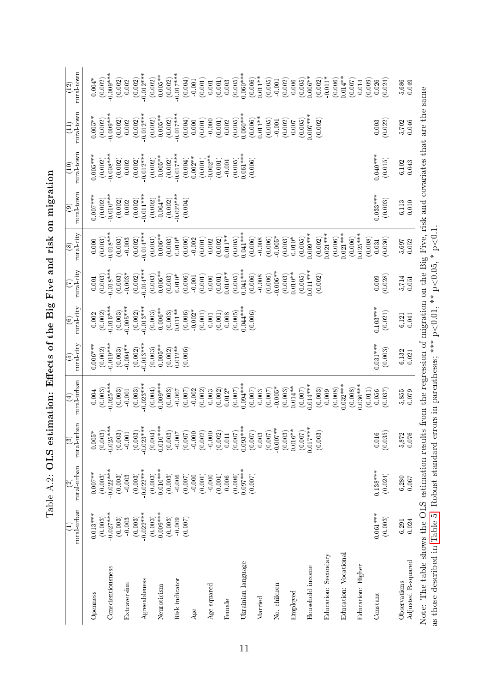|                                                                                                                                                                                                                                                | rural urban<br>Ξ       | $\operatorname{rural-urban}$<br>$\widehat{\mathbb{C}}$ | rural-urban<br>$\odot$                         | rural urban<br>$\widehat{\mathbf{t}}$ | rural-city<br>$\widehat{e}$ | rural-city<br>$\odot$ | $\ensuremath{\mathrm{rural\cdot}div}\xspace$<br>E | rural-city<br>$\circledast$      | rural town<br>$\circledcirc$ | rural town<br>$\left(10\right)$ | rural town<br>$\widehat{\Xi}$ | rural-town<br>(12)          |
|------------------------------------------------------------------------------------------------------------------------------------------------------------------------------------------------------------------------------------------------|------------------------|--------------------------------------------------------|------------------------------------------------|---------------------------------------|-----------------------------|-----------------------|---------------------------------------------------|----------------------------------|------------------------------|---------------------------------|-------------------------------|-----------------------------|
| Openness                                                                                                                                                                                                                                       | $0.013***$             | $0.007***$<br>(0.003)                                  | (0.003)<br>$0.005\ensuremath{^*}$              | (0.003)<br>0.004                      | $0.006***$                  | $0.002\,$             | (0.003)<br>$0.001\,$                              | $0.000$                          | $0.007***$                   | $0.005***$                      | $0.005***$                    | $0.004*$                    |
| Conscientiousness                                                                                                                                                                                                                              | $-0.027***$<br>(0.003) | $-0.022***$                                            | $0.025***$                                     | $0.025***$                            | $0.019***$<br>(0.002)       | $0.016***$<br>(0.002) | $-0.018***$                                       | $-0.018***$<br>(0.003)           | $-0.010***$<br>(0.002)       | $0.008***$<br>(0.002)           | $0.009***$<br>(0.002)         | $0.009***$<br>(0.002)       |
|                                                                                                                                                                                                                                                | (0.003)                | (0.003)                                                | (0.003)                                        | (0.003)                               | (0.003)                     | (0.003)               | (0.003)                                           | (0.003)                          | (0.002)                      | (0.002)                         | (0.002)                       | (0.002)                     |
| Extraversion                                                                                                                                                                                                                                   | (0.003)<br>$-0.003$    | (0.003)<br>$-0.003$                                    | (0.003)<br>$-0.001$                            | (0.003)<br>$\,0.001$                  | $-0.004**$<br>(0.002)       | $0.005***$<br>(0.002) | $-0.003*$<br>(0.002)                              | (0.002)<br>$\,0.003$             | (0.002)<br>0.002             | (0.002)<br>0.002                | (0.002)<br>0.002              | (0.002)<br>0.002            |
| Agreeableness                                                                                                                                                                                                                                  | $-0.022***$            | $-0.022***$                                            | $0.023***$                                     | $0.023***$                            | $0.013***$                  | $0.013***$            | $-0.014***$                                       | $-0.014***$                      | $-0.011***$                  | $-0.012***$                     | $-0.012***$                   | $-0.012***$                 |
| Neuroticism                                                                                                                                                                                                                                    | $-0.009***$<br>(0.003) | $0.010***$<br>(0.003)                                  | $-0.010***$<br>(0.004)                         | $0.009***$<br>(0.004)                 | $-0.005***$<br>(0.003)      | $-0.006**$<br>(0.003) | $-0.006**$<br>(0.003)                             | $-0.006**$<br>(0.003)            | $-0.004**$<br>(0.002)        | $-0.005**$<br>(0.002)           | $-0.005**$<br>(0.002)         | $-0.005**$<br>(0.002)       |
|                                                                                                                                                                                                                                                | (0.003)                | (0.003)                                                | (0.003)                                        | (0.003)                               | (0.002)                     | (0.003)               | (0.003)                                           | (0.003)                          | (0.002)                      | (0.002)                         | (0.002)                       | (0.002)                     |
| Risk indicator                                                                                                                                                                                                                                 | $-0.009$               | $-0.006$                                               | $-0.007$                                       | $-0.007$                              | $0.012**$                   | $0.011**$             | $0.010*$                                          | $0.010^{*}$                      | $-0.022***$                  | $-0.017***$                     | $0.017***$                    | $-0.017***$                 |
|                                                                                                                                                                                                                                                | (0.007)                | (0.007)                                                | (0.007)                                        | (0.007)                               | (0.006)                     | (0.006)               | (0.006)                                           | (0.006)                          | (0.004)                      | (0.004)                         | (0.004)                       | (0.004)                     |
| Age                                                                                                                                                                                                                                            |                        | (0.001)<br>$-0.000$                                    | (0.002)                                        | (0.002)<br>$-0.002$                   |                             | $-0.002*$<br>(0.001)  | (0.001)<br>$-0.001$                               | (0.001)<br>$-0.002$              |                              | $0.002**$<br>(0.001)            | (0.001)<br>0.000              | (0.001)<br>$-0.001$         |
| Age squared                                                                                                                                                                                                                                    |                        | $-0.000$                                               | 0.000                                          | $0.003$                               |                             | $0.001\,$             | 0.000                                             | 0.002                            |                              | $-0.002**$                      | 0.000                         | $0.001\,$                   |
| Female                                                                                                                                                                                                                                         |                        | (0.001)<br>0.006                                       | (0.002)<br>$0.011\,$                           | (0.002)<br>$0.012*$                   |                             | (0.001)<br>$0.008\,$  | $0.010**$<br>(0.001)                              | $0.011**$<br>(0.002)             |                              | (0.001)<br>$\,$ 0.001           | (0.001)<br>0.002              | (0.001)<br>0.003            |
|                                                                                                                                                                                                                                                |                        | (0.006)                                                | (0.007)                                        | (0.007)                               |                             | (0.005)               | (0.005)                                           | (0.005)                          |                              | (0.005)                         | (0.005)                       | (0.005)                     |
| Ukrainian language                                                                                                                                                                                                                             |                        | $-0.097***$                                            | $-0.093***$                                    | $0.094***$                            |                             | $0.044***$            | $0.041***$                                        | $-0.041***$                      |                              | $-0.061***$                     | $0.060***$                    | $-0.060***$                 |
| Married                                                                                                                                                                                                                                        |                        | (0.007)                                                | $\begin{array}{c} (0.007)\\ 0.003 \end{array}$ | (0.007)<br>0.003                      |                             | (0.006)               | (0.006)<br>$-0.008$                               | (0.006)<br>$-0.008$              |                              | (0.006)                         | $0.011***$<br>(0.006)         | $0.011**$<br>(0.006)        |
|                                                                                                                                                                                                                                                |                        |                                                        | $(0.007)$<br>-0.007**                          | (0.007)                               |                             |                       | (0.006)                                           | (0.006)                          |                              |                                 | (0.005)                       | (0.005)                     |
| No. children                                                                                                                                                                                                                                   |                        |                                                        |                                                | $-0.005*$<br>(0.003)                  |                             |                       | $0.006***$<br>(0.003)                             | $-0.005*$<br>(0.003)             |                              |                                 | (0.002)<br>$-0.001$           | (0.002)<br>$-0.001$         |
| Employed                                                                                                                                                                                                                                       |                        |                                                        | $(0.003)$<br>$0.016**$                         | $0.014**$                             |                             |                       | $0.010**$<br>(0.005)                              | $0.010*$                         |                              |                                 | $0.007$                       | 0.006                       |
| Household income                                                                                                                                                                                                                               |                        |                                                        | $0.017***$<br>(0.007)                          | $0.014***$<br>(0.007)                 |                             |                       | $0.011***$                                        | $0.009***$<br>(0.005)            |                              |                                 | $0.007***$<br>(0.005)         | $0.006**$<br>(0.005)        |
| Education: Secondary                                                                                                                                                                                                                           |                        |                                                        | (0.003)                                        | (0.003)<br>0.009                      |                             |                       | (0.002)                                           | $0.021***$<br>(0.002)            |                              |                                 | (0.002)                       | $-0.011*$<br>(0.002)        |
| Education: Vocational                                                                                                                                                                                                                          |                        |                                                        |                                                | $0.032***$<br>(0.008)                 |                             |                       |                                                   | $0.021***$<br>(0.006)            |                              |                                 |                               | $0.014**$<br>(0.006)        |
| Education: Higher                                                                                                                                                                                                                              |                        |                                                        |                                                | $0.036***$<br>(0.008)<br>(0.011)      |                             |                       |                                                   | $0.025***$<br>(0.006)<br>(0.008) |                              |                                 |                               | (0.009)<br>(0.007)<br>0.014 |
| Constant                                                                                                                                                                                                                                       | $0.061***$<br>(0.003)  | $0.138***$<br>(0.024)                                  | (0.035)<br>0.016                               | (0.037)<br>0.056                      | $0.031***$<br>(0.003)       | $0.103***$<br>(0.021) | (0.028)<br>0.009                                  | (0.030)<br>0.031                 | $0.033***$<br>(0.003)        | $0.040***$<br>(0.015)           | (0.022)<br>0.003              | (0.024)<br>0.026            |
| Observations                                                                                                                                                                                                                                   | 6,291                  | 6,280                                                  | 5,872                                          | 5,855                                 | 6,132                       | 6,121                 | 5,714                                             | 5,697                            | $6,\!113$                    | 6,102                           | 5,702                         | 5,686                       |
| Adjusted R-squared                                                                                                                                                                                                                             | 0.024                  | $0.067\,$                                              | 0.076                                          | 0.079                                 | 0.021                       | 0.041                 | 0.051                                             | 0.052                            | $0.010\,$                    | 0.043                           | 0.046                         | 0.049                       |
| Note: The table shows the OLS estimation results from the regression of migration on the Big Five, risk and covariates that are the same<br>as those described in Table 5. Robust standard errors in parentheses; *** $p<0.01$ , ** $p<0.05$ , |                        |                                                        |                                                |                                       |                             |                       |                                                   | $*_{p<0.1}$                      |                              |                                 |                               |                             |
|                                                                                                                                                                                                                                                |                        |                                                        |                                                |                                       |                             |                       |                                                   |                                  |                              |                                 |                               |                             |

| <br> <br> <br> <br>                                                                                    |
|--------------------------------------------------------------------------------------------------------|
|                                                                                                        |
| rocte of the Birriting and right<br>ĺ<br>i                                                             |
| ׇ֧֧֧֧֧֧֧֦֧֛֛֛֛֛֝֓֓֝֓֝֓֝֓֝֓֝֓֝֓֓֝֓֓֝֓֝֓֝֓֝֓֝֓֟֓֟֓֝֓֜<br>ׇׇ֧֛֛֛֛֛֛֛֛֛֛֛֛֛֛֛֛֧֧֧֝֩֜֜֜֜֜֜֜֜֟֩֩֩֓֟֩֩֩֓<br>) |
| $\mathbf{I}$                                                                                           |
|                                                                                                        |
|                                                                                                        |
| くりし                                                                                                    |
|                                                                                                        |
| ֖֚֓<br>l                                                                                               |